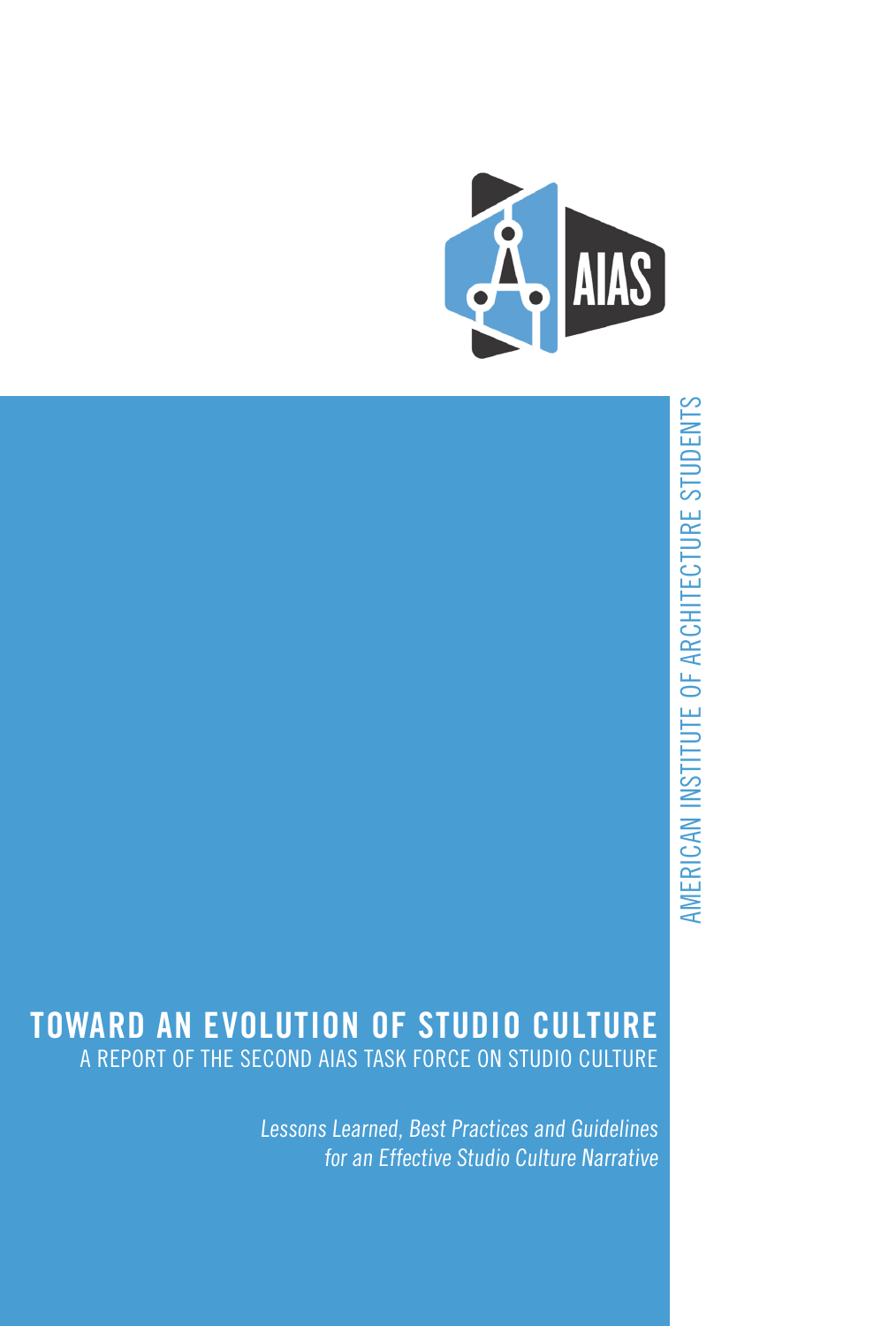

# AMERICAN INSTITUTE OF ARCHITECTURE STUDENTS AMERICAN INSTITUTE OF ARCHITECTURE STUDENTS

#### **TOWARD AN EVOLUTION OF STUDIO CULTURE** A REPORT OF THE SECOND AIAS TASK FORCE ON STUDIO CULTURE

Lessons Learned, Best Practices and Guidelines for an Effective Studio Culture Narrative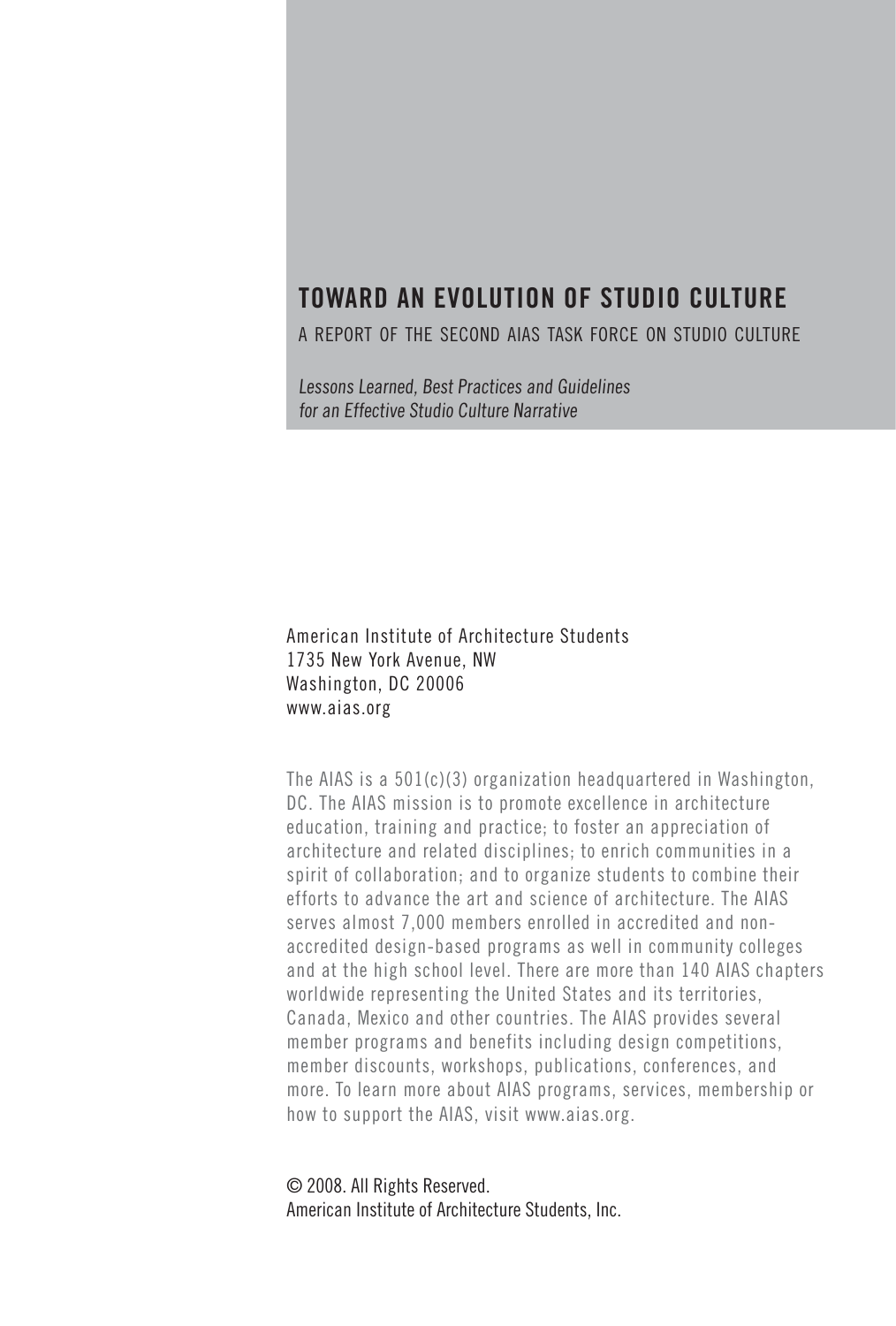#### **TOWARD AN EVOLUTION OF STUDIO CULTURE**

a report of the second aias task force on studio culture

Lessons Learned, Best Practices and Guidelines for an Effective Studio Culture Narrative

American Institute of Architecture Students 1735 New York Avenue, NW Washington, DC 20006 www.aias.org

The AIAS is a 501(c)(3) organization headquartered in Washington, DC. The AIAS mission is to promote excellence in architecture education, training and practice; to foster an appreciation of architecture and related disciplines; to enrich communities in a spirit of collaboration; and to organize students to combine their efforts to advance the art and science of architecture. The AIAS serves almost 7,000 members enrolled in accredited and nonaccredited design-based programs as well in community colleges and at the high school level. There are more than 140 AIAS chapters worldwide representing the United States and its territories, Canada, Mexico and other countries. The AIAS provides several member programs and benefits including design competitions, member discounts, workshops, publications, conferences, and more. To learn more about AIAS programs, services, membership or how to support the AIAS, visit www.aias.org.

© 2008. All Rights Reserved. American Institute of Architecture Students, Inc.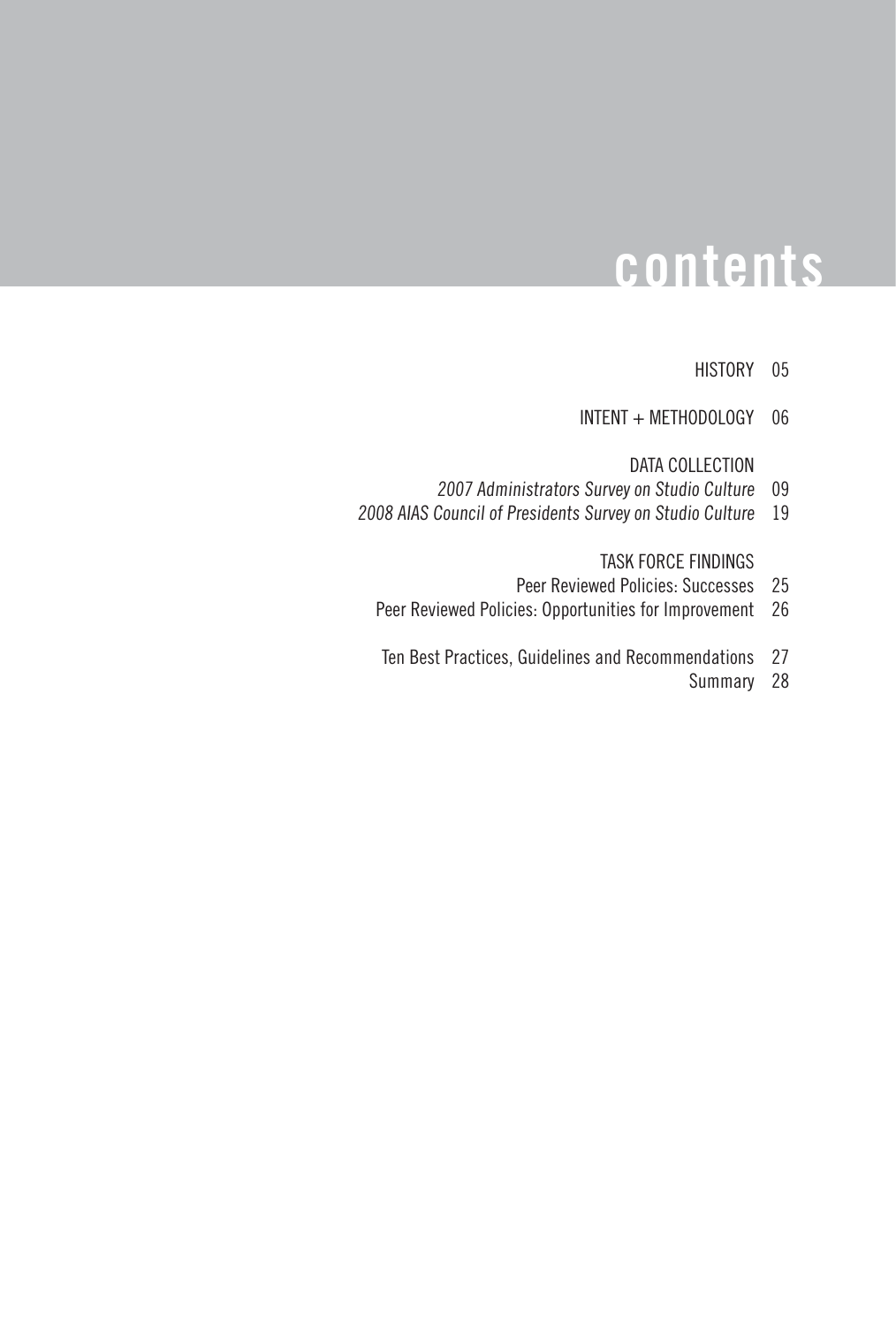## **contents**

#### HISTORY 05

INTENT + METHODOLOGY 06

DATA COLLECTION

- 2007 Administrators Survey on Studio Culture 09
- 2008 AIAS Council of Presidents Survey on Studio Culture 19

TASK FORCE FINDINGS

- Peer Reviewed Policies: Successes 25
- Peer Reviewed Policies: Opportunities for Improvement 26
- Ten Best Practices, Guidelines and Recommendations 27
	- Summary 28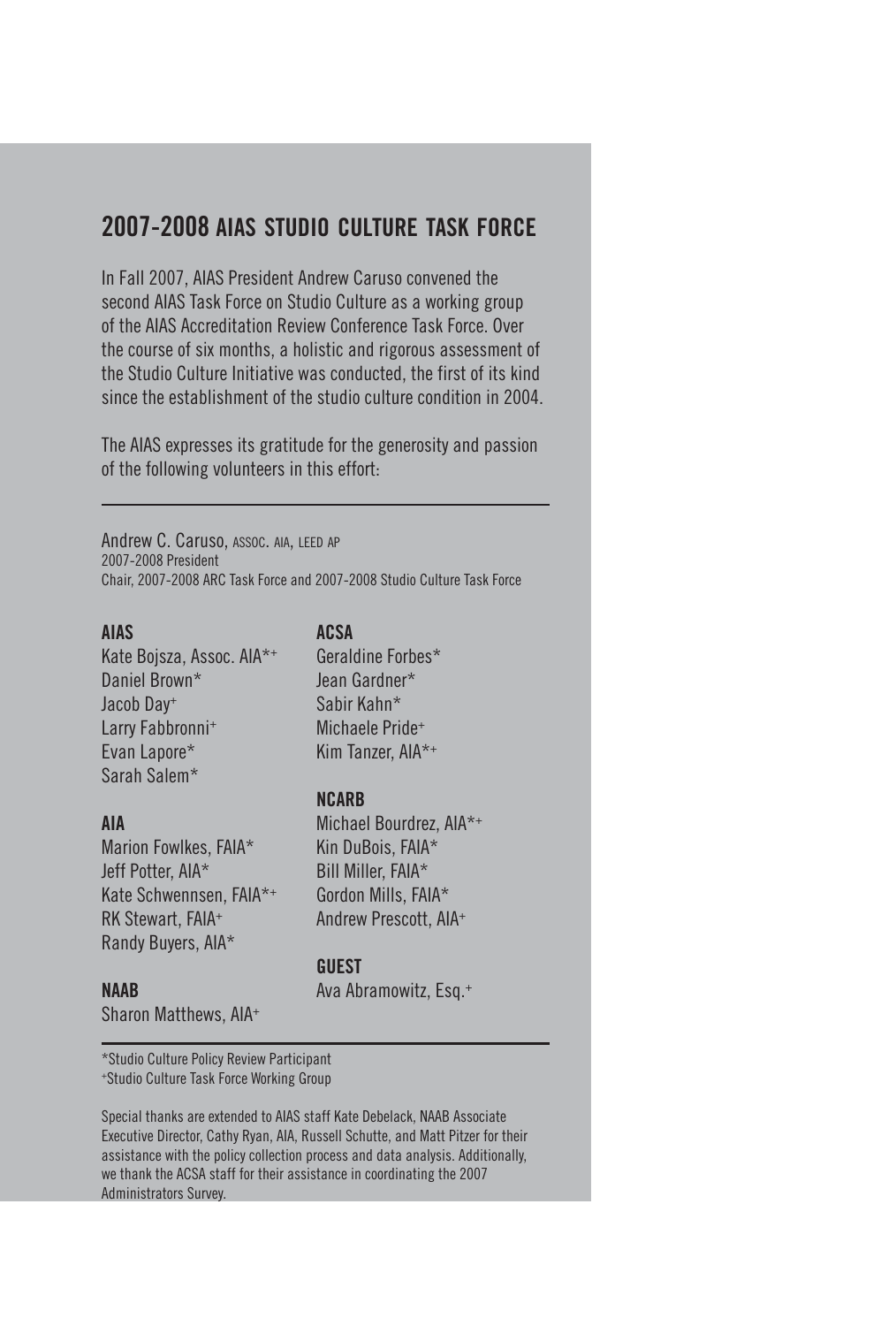#### **2007-2008 aias studio culture task force**

In Fall 2007, AIAS President Andrew Caruso convened the second AIAS Task Force on Studio Culture as a working group of the AIAS Accreditation Review Conference Task Force. Over the course of six months, a holistic and rigorous assessment of the Studio Culture Initiative was conducted, the first of its kind since the establishment of the studio culture condition in 2004.

The AIAS expresses its gratitude for the generosity and passion of the following volunteers in this effort:

Andrew C. Caruso, ASSOC. AIA, LEED AP 2007-2008 President Chair, 2007-2008 ARC Task Force and 2007-2008 Studio Culture Task Force

#### **AIAS**

Kate Bojsza, Assoc. AIA\*+ Daniel Brown\* Jacob Day+ Larry Fabbronni+ Evan Lapore\* Sarah Salem\*

#### **AIA**

Marion Fowlkes, FAIA\* Jeff Potter, AIA\* Kate Schwennsen, FAIA\*+ RK Stewart, FAIA+ Randy Buyers, AIA\*

#### **NAAB**

Sharon Matthews, AIA+

**ACSA**

Geraldine Forbes\* Jean Gardner\* Sabir Kahn\* Michaele Pride+ Kim Tanzer, AIA\*+

#### **NCARB**

Michael Bourdrez, AIA\*+ Kin DuBois, FAIA\* Bill Miller, FAIA\* Gordon Mills, FAIA\* Andrew Prescott, AIA+

#### **GUEST**

Ava Abramowitz, Esq.+

\*Studio Culture Policy Review Participant +Studio Culture Task Force Working Group

Special thanks are extended to AIAS staff Kate Debelack, NAAB Associate Executive Director, Cathy Ryan, AIA, Russell Schutte, and Matt Pitzer for their assistance with the policy collection process and data analysis. Additionally, we thank the ACSA staff for their assistance in coordinating the 2007 Administrators Survey.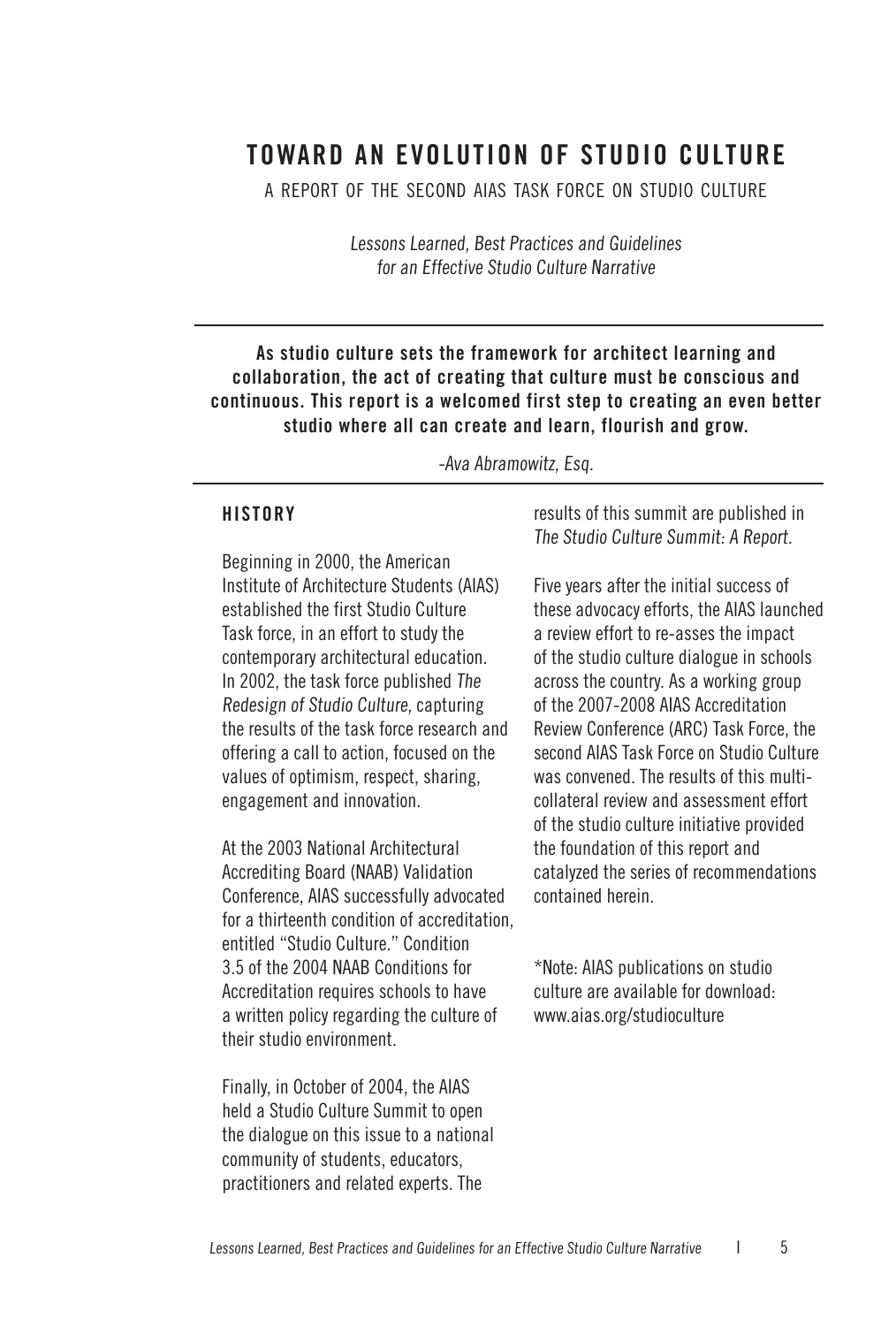#### **TOWARD AN EVOLUTION OF STUDIO CULTURE**

a report of the second aias task force on studio culture

Lessons Learned, Best Practices and Guidelines for an Effective Studio Culture Narrative

#### **As studio culture sets the framework for architect learning and collaboration, the act of creating that culture must be conscious and continuous. This report is a welcomed first step to creating an even better studio where all can create and learn, flourish and grow.**

-Ava Abramowitz, Esq.

#### **HISTORY**

Beginning in 2000, the American Institute of Architecture Students (AIAS) established the first Studio Culture Task force, in an effort to study the contemporary architectural education. In 2002, the task force published The Redesign of Studio Culture, capturing the results of the task force research and offering a call to action, focused on the values of optimism, respect, sharing, engagement and innovation.

At the 2003 National Architectural Accrediting Board (NAAB) Validation Conference, AIAS successfully advocated for a thirteenth condition of accreditation, entitled "Studio Culture." Condition 3.5 of the 2004 NAAB Conditions for Accreditation requires schools to have a written policy regarding the culture of their studio environment.

Finally, in October of 2004, the AIAS held a Studio Culture Summit to open the dialogue on this issue to a national community of students, educators, practitioners and related experts. The

results of this summit are published in The Studio Culture Summit: A Report.

Five years after the initial success of these advocacy efforts, the AIAS launched a review effort to re-asses the impact of the studio culture dialogue in schools across the country. As a working group of the 2007-2008 AIAS Accreditation Review Conference (ARC) Task Force, the second AIAS Task Force on Studio Culture was convened. The results of this multicollateral review and assessment effort of the studio culture initiative provided the foundation of this report and catalyzed the series of recommendations contained herein.

\*Note: AIAS publications on studio culture are available for download: www.aias.org/studioculture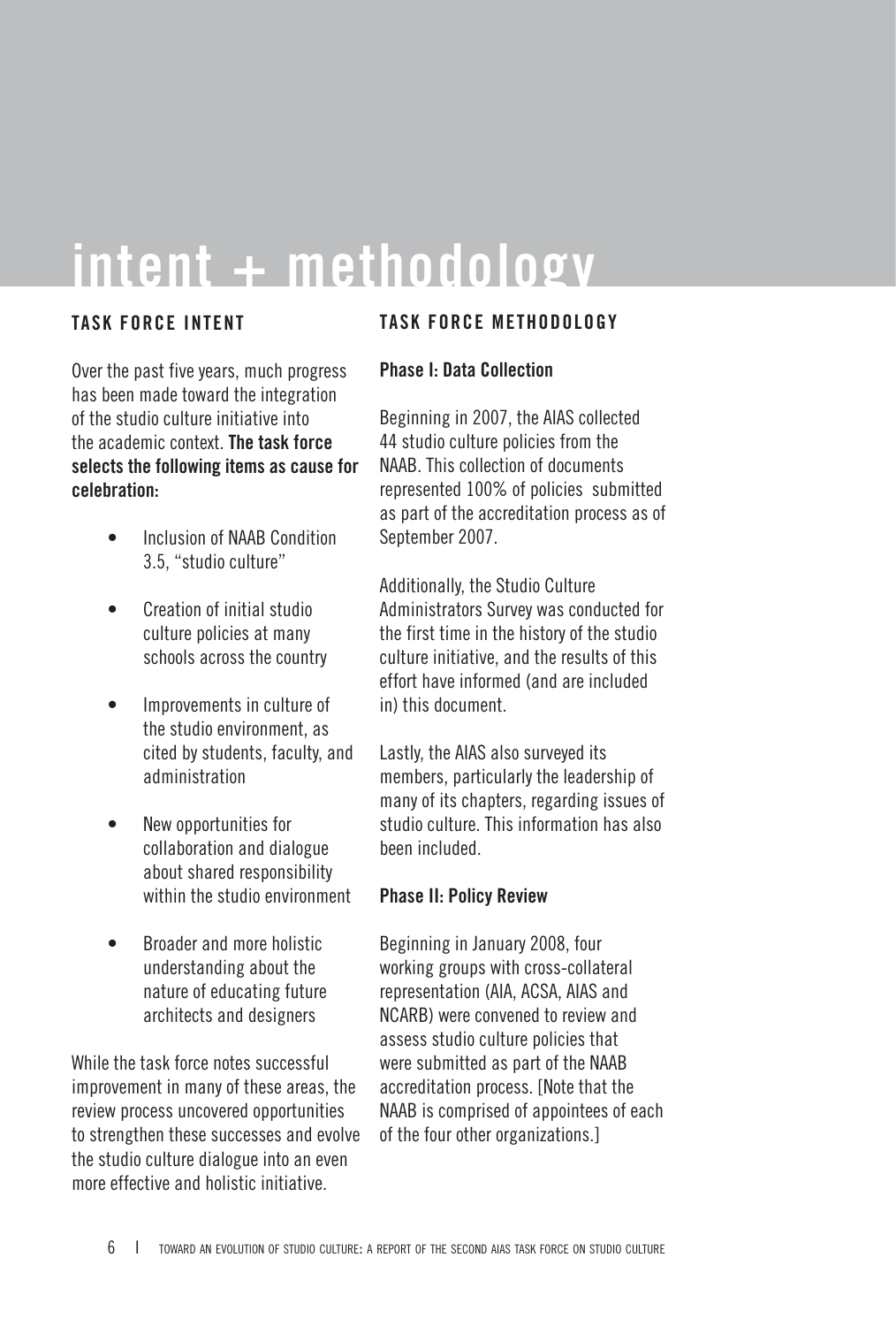## **intent + methodology**

#### **TASK FORCE INTENT**

Over the past five years, much progress has been made toward the integration of the studio culture initiative into the academic context. **The task force selects the following items as cause for celebration:**

- Inclusion of NAAB Condition 3.5, "studio culture" •
- Creation of initial studio culture policies at many schools across the country •
- Improvements in culture of the studio environment, as cited by students, faculty, and administration •
- New opportunities for collaboration and dialogue about shared responsibility within the studio environment •
- Broader and more holistic understanding about the nature of educating future architects and designers •

While the task force notes successful improvement in many of these areas, the review process uncovered opportunities to strengthen these successes and evolve the studio culture dialogue into an even more effective and holistic initiative.

#### **TASK FORCE METHODOLOGY**

#### **Phase I: Data Collection**

Beginning in 2007, the AIAS collected 44 studio culture policies from the NAAB. This collection of documents represented 100% of policies submitted as part of the accreditation process as of September 2007.

Additionally, the Studio Culture Administrators Survey was conducted for the first time in the history of the studio culture initiative, and the results of this effort have informed (and are included in) this document.

Lastly, the AIAS also surveyed its members, particularly the leadership of many of its chapters, regarding issues of studio culture. This information has also been included.

#### **Phase II: Policy Review**

Beginning in January 2008, four working groups with cross-collateral representation (AIA, ACSA, AIAS and NCARB) were convened to review and assess studio culture policies that were submitted as part of the NAAB accreditation process. [Note that the NAAB is comprised of appointees of each of the four other organizations.]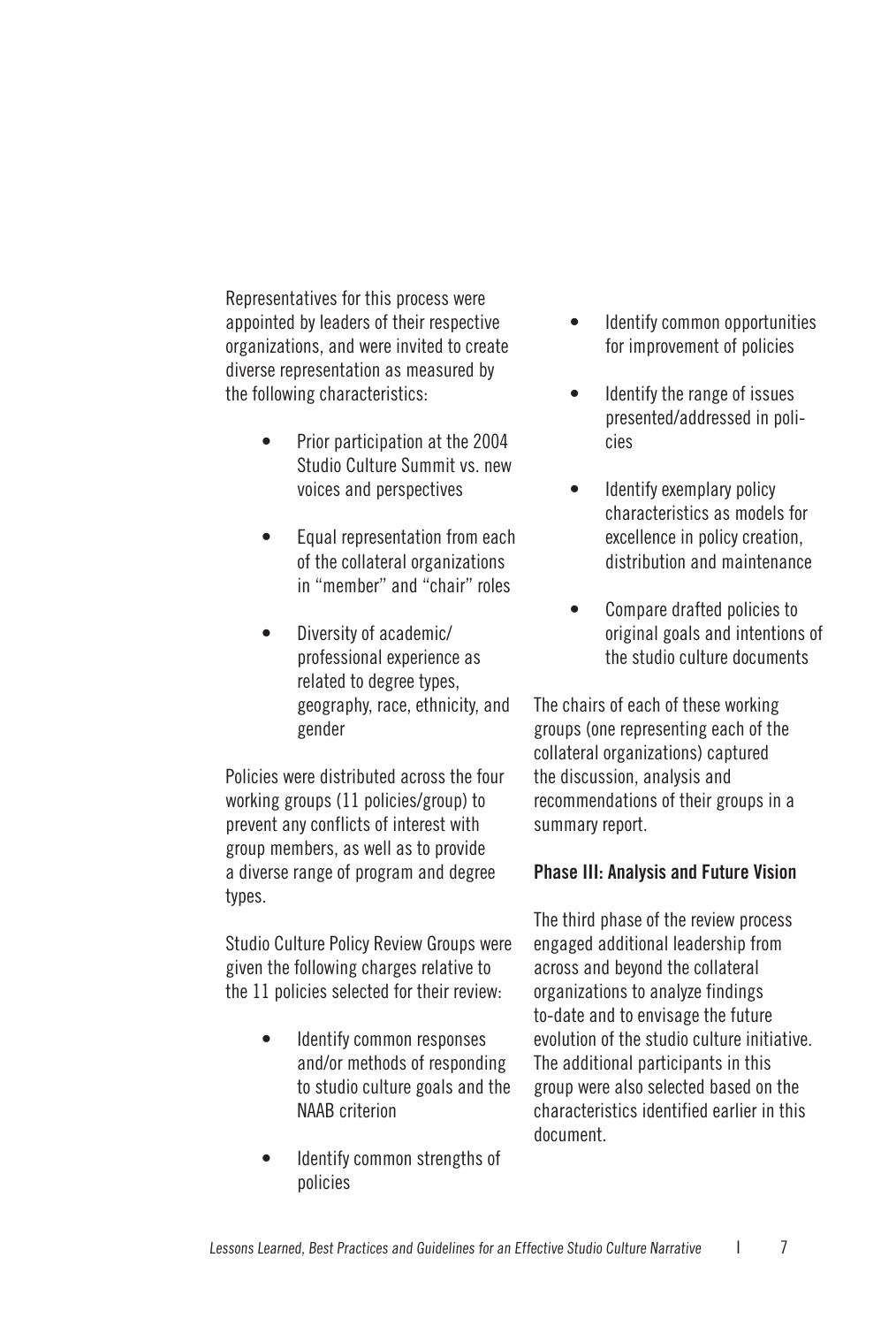Representatives for this process were appointed by leaders of their respective organizations, and were invited to create diverse representation as measured by the following characteristics:

- Prior participation at the 2004 Studio Culture Summit vs. new voices and perspectives •
- Equal representation from each of the collateral organizations in "member" and "chair" roles •
- Diversity of academic/ professional experience as related to degree types, geography, race, ethnicity, and gender •

Policies were distributed across the four working groups (11 policies/group) to prevent any conflicts of interest with group members, as well as to provide a diverse range of program and degree types.

Studio Culture Policy Review Groups were given the following charges relative to the 11 policies selected for their review:

- Identify common responses and/or methods of responding to studio culture goals and the NAAB criterion •
- Identify common strengths of policies •
- Identify common opportunities for improvement of policies •
- Identify the range of issues presented/addressed in policies •
- Identify exemplary policy characteristics as models for excellence in policy creation, distribution and maintenance •
- Compare drafted policies to original goals and intentions of the studio culture documents •

The chairs of each of these working groups (one representing each of the collateral organizations) captured the discussion, analysis and recommendations of their groups in a summary report.

#### **Phase III: Analysis and Future Vision**

The third phase of the review process engaged additional leadership from across and beyond the collateral organizations to analyze findings to-date and to envisage the future evolution of the studio culture initiative. The additional participants in this group were also selected based on the characteristics identified earlier in this document.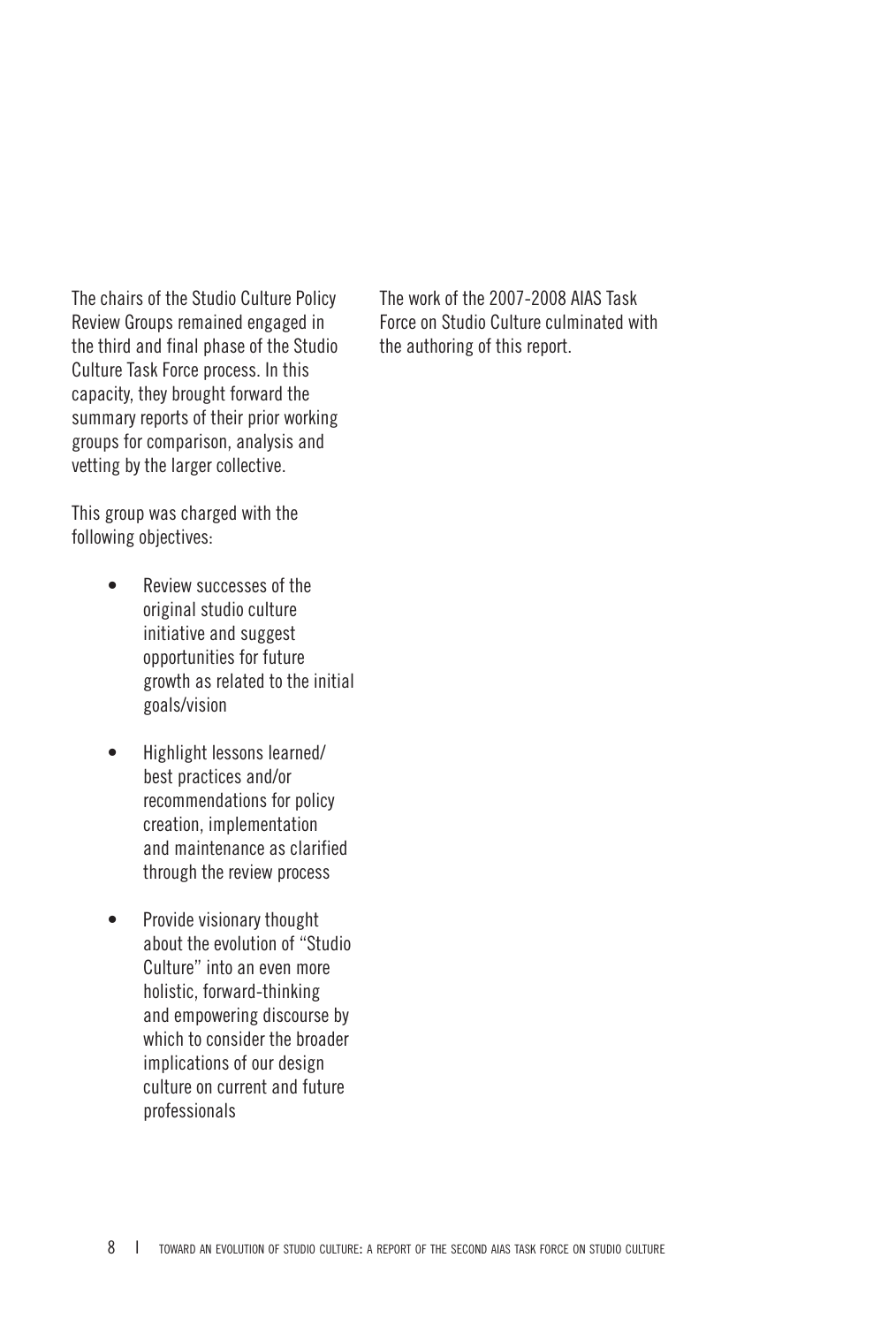The chairs of the Studio Culture Policy Review Groups remained engaged in the third and final phase of the Studio Culture Task Force process. In this capacity, they brought forward the summary reports of their prior working groups for comparison, analysis and vetting by the larger collective.

The work of the 2007-2008 AIAS Task Force on Studio Culture culminated with the authoring of this report.

This group was charged with the following objectives:

- Review successes of the original studio culture initiative and suggest opportunities for future growth as related to the initial goals/vision •
- Highlight lessons learned/ best practices and/or recommendations for policy creation, implementation and maintenance as clarified through the review process •
- Provide visionary thought about the evolution of "Studio Culture" into an even more holistic, forward-thinking and empowering discourse by which to consider the broader implications of our design culture on current and future professionals •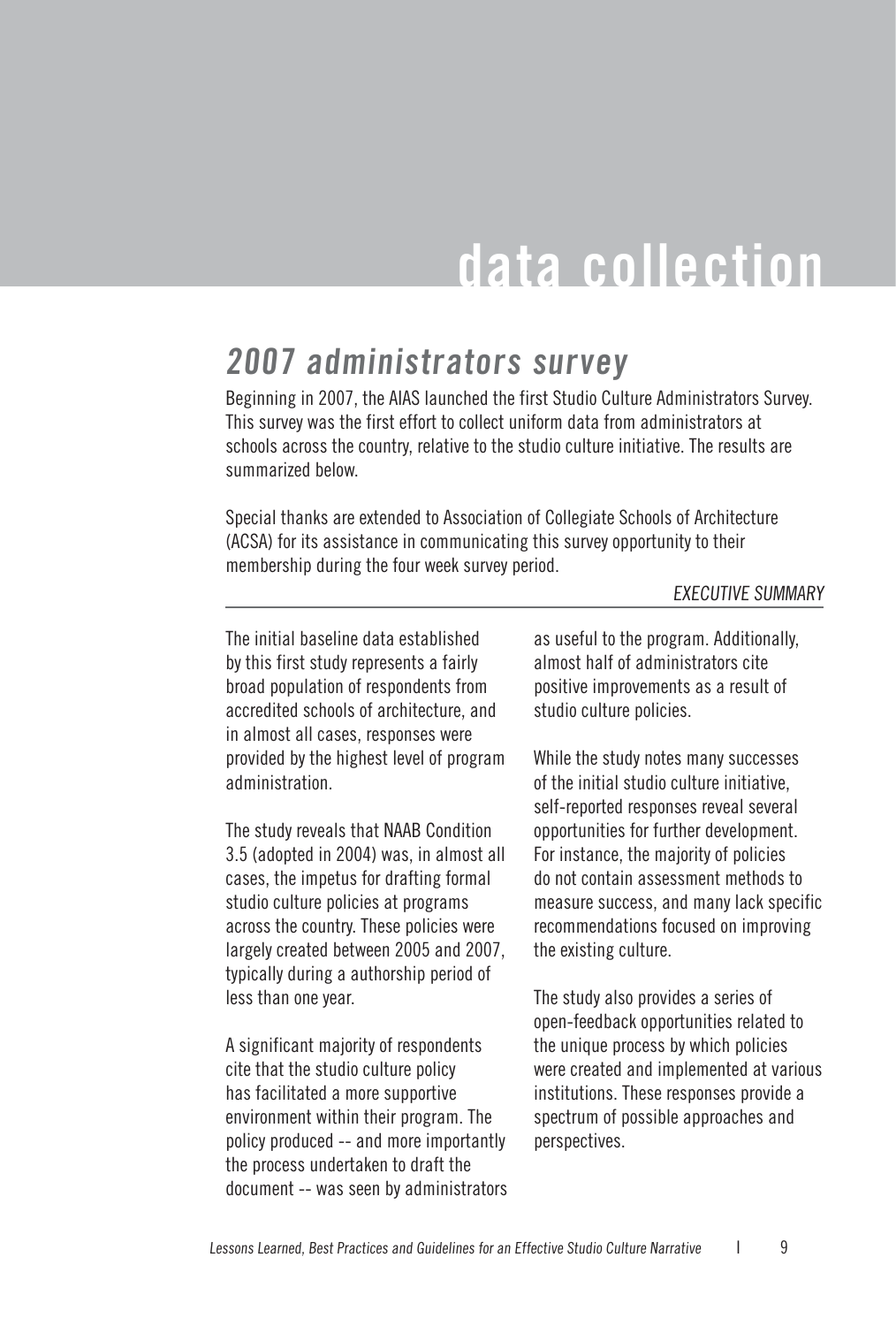## **data collection**

#### **2007 administrators survey**

Beginning in 2007, the AIAS launched the first Studio Culture Administrators Survey. This survey was the first effort to collect uniform data from administrators at schools across the country, relative to the studio culture initiative. The results are summarized below.

Special thanks are extended to Association of Collegiate Schools of Architecture (ACSA) for its assistance in communicating this survey opportunity to their membership during the four week survey period.

#### EXECUTIVE SUMMARY

The initial baseline data established by this first study represents a fairly broad population of respondents from accredited schools of architecture, and in almost all cases, responses were provided by the highest level of program administration.

The study reveals that NAAB Condition 3.5 (adopted in 2004) was, in almost all cases, the impetus for drafting formal studio culture policies at programs across the country. These policies were largely created between 2005 and 2007, typically during a authorship period of less than one year.

A significant majority of respondents cite that the studio culture policy has facilitated a more supportive environment within their program. The policy produced -- and more importantly the process undertaken to draft the document -- was seen by administrators

as useful to the program. Additionally, almost half of administrators cite positive improvements as a result of studio culture policies.

While the study notes many successes of the initial studio culture initiative, self-reported responses reveal several opportunities for further development. For instance, the majority of policies do not contain assessment methods to measure success, and many lack specific recommendations focused on improving the existing culture.

The study also provides a series of open-feedback opportunities related to the unique process by which policies were created and implemented at various institutions. These responses provide a spectrum of possible approaches and perspectives.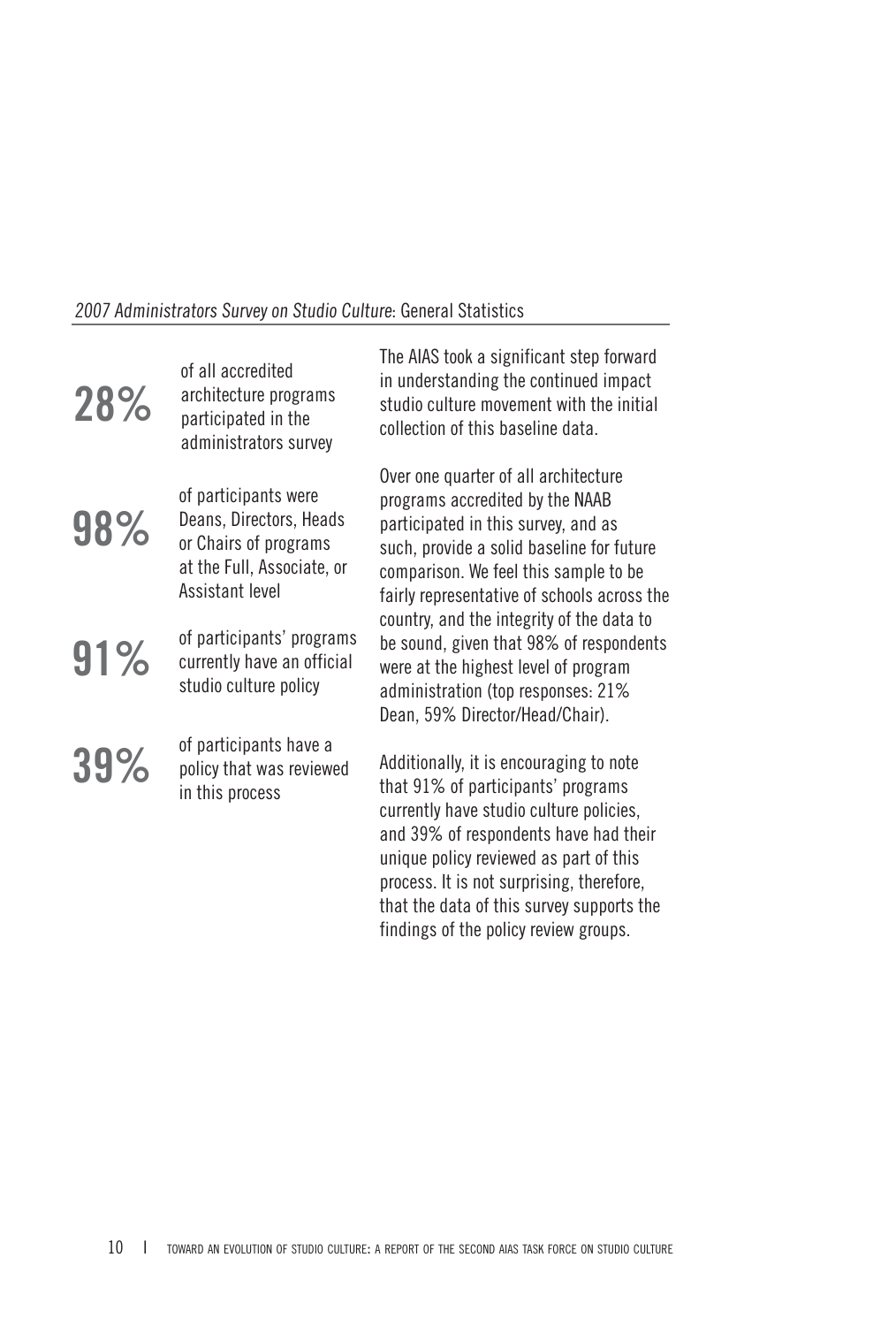#### 2007 Administrators Survey on Studio Culture: General Statistics

| 28% | of all accredited<br>architecture programs<br>participated in the<br>administrators survey                                | The AIAS took a significant step forward<br>in understanding the continued impact<br>studio culture movement with the initial<br>collection of this baseline data.                                                                                                                                    |
|-----|---------------------------------------------------------------------------------------------------------------------------|-------------------------------------------------------------------------------------------------------------------------------------------------------------------------------------------------------------------------------------------------------------------------------------------------------|
| 98% | of participants were<br>Deans, Directors, Heads<br>or Chairs of programs<br>at the Full, Associate, or<br>Assistant level | Over one quarter of all architecture<br>programs accredited by the NAAB<br>participated in this survey, and as<br>such, provide a solid baseline for future<br>comparison. We feel this sample to be<br>fairly representative of schools across the                                                   |
| 91% | of participants' programs<br>currently have an official<br>studio culture policy                                          | country, and the integrity of the data to<br>be sound, given that 98% of respondents<br>were at the highest level of program<br>administration (top responses: 21%<br>Dean, 59% Director/Head/Chair).                                                                                                 |
| 39% | of participants have a<br>policy that was reviewed<br>in this process                                                     | Additionally, it is encouraging to note<br>that 91% of participants' programs<br>currently have studio culture policies,<br>and 39% of respondents have had their<br>unique policy reviewed as part of this<br>process. It is not surprising, therefore,<br>that the data of this survey supports the |

findings of the policy review groups.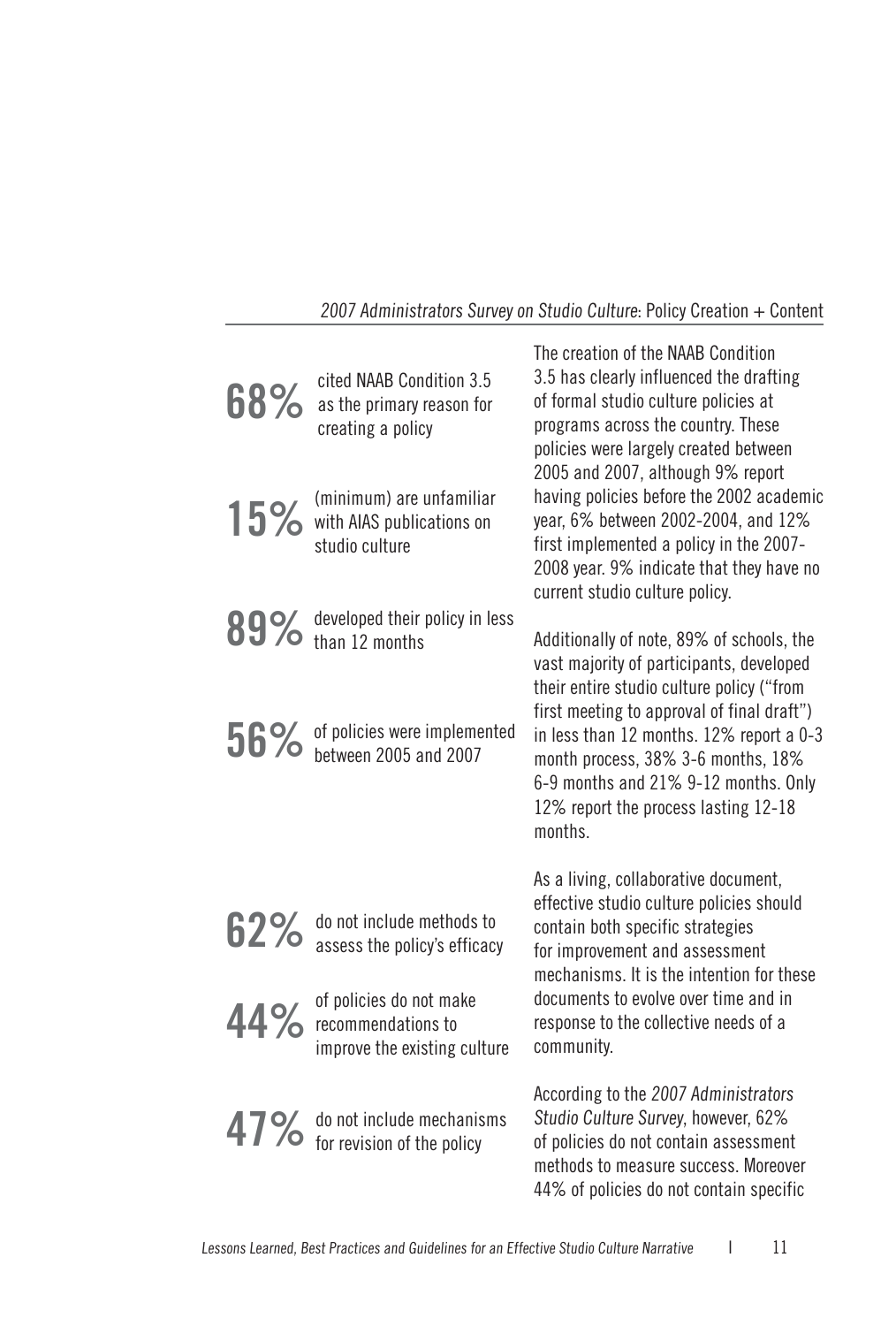#### 2007 Administrators Survey on Studio Culture: Policy Creation + Content

| 68% | cited NAAB Condition 3.5<br>as the primary reason for<br>creating a policy           | The creation of the NAAB Condition<br>3.5 has clearly influenced the drafting<br>of formal studio culture policies at<br>programs across the country. These<br>policies were largely created between<br>2005 and 2007, although 9% report |
|-----|--------------------------------------------------------------------------------------|-------------------------------------------------------------------------------------------------------------------------------------------------------------------------------------------------------------------------------------------|
|     | (minimum) are unfamiliar<br>15% with AIAS publications on<br>studio culture          | having policies before the 2002 academic<br>year, 6% between 2002-2004, and 12%<br>first implemented a policy in the 2007-<br>2008 year. 9% indicate that they have no<br>current studio culture policy.                                  |
|     | 89% developed their policy in less<br>89% than 12 months                             | Additionally of note, 89% of schools, the<br>vast majority of participants, developed<br>their entire studio culture policy ("from<br>first meeting to approval of final draft")                                                          |
|     | 56% of policies were implemented<br>between 2005 and 2007                            | in less than 12 months. 12% report a 0-3<br>month process, 38% 3-6 months, 18%<br>6-9 months and 21% 9-12 months. Only<br>12% report the process lasting 12-18<br>months.                                                                 |
| 62% | do not include methods to<br>assess the policy's efficacy                            | As a living, collaborative document,<br>effective studio culture policies should<br>contain both specific strategies<br>for improvement and assessment<br>mechanisms. It is the intention for these                                       |
|     | of policies do not make<br>$44\%$ recommendations to<br>improve the existing culture | documents to evolve over time and in<br>response to the collective needs of a<br>community.                                                                                                                                               |
|     | 47% do not include mechanisms<br>for revision of the policy                          | According to the 2007 Administrators<br>Studio Culture Survey, however, 62%<br>of policies do not contain assessment<br>methods to measure success. Moreover<br>44% of policies do not contain specific                                   |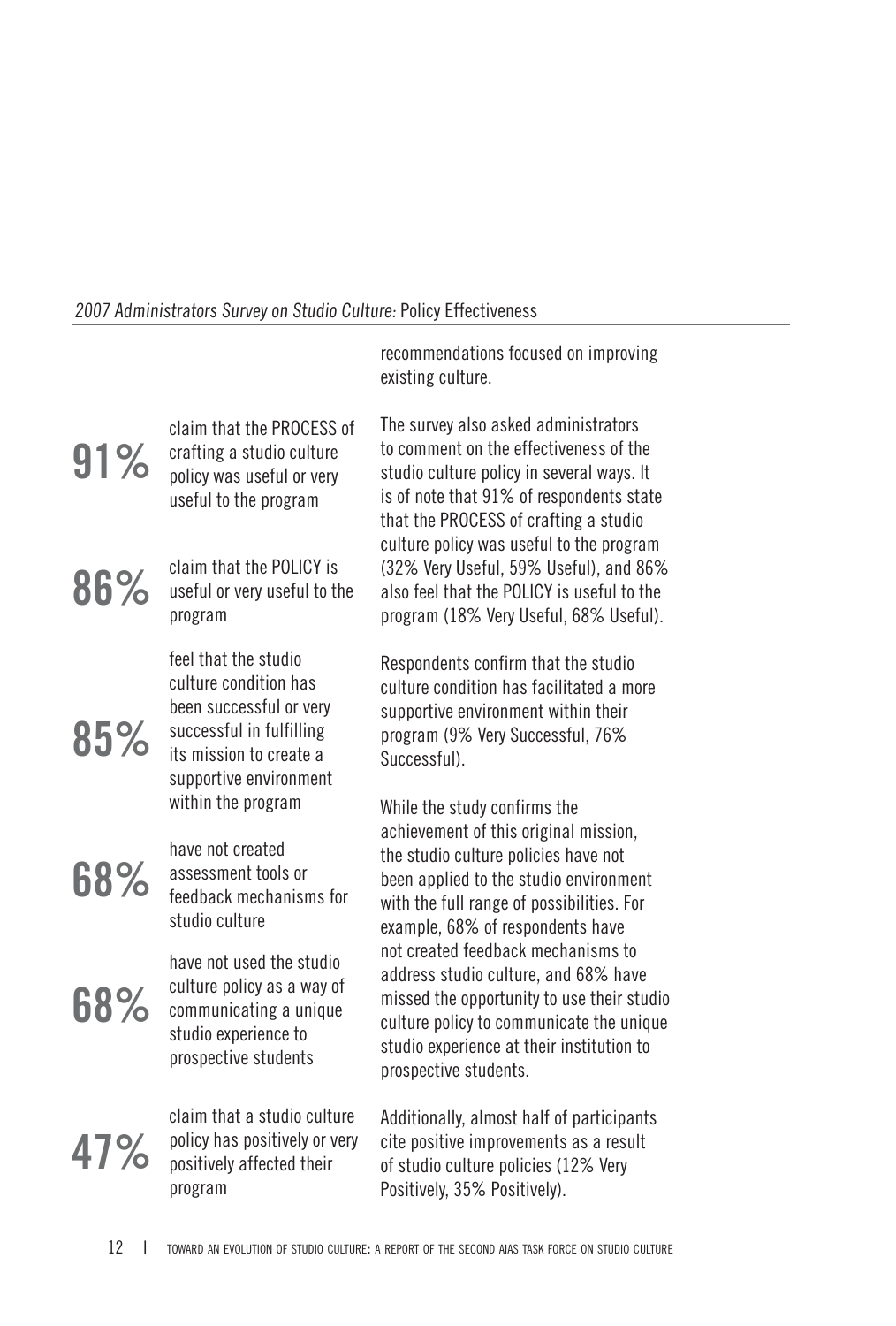#### 2007 Administrators Survey on Studio Culture: Policy Effectiveness

|     |                                                                                                                                                           | recommendations focused on improving<br>existing culture.                                                                                                                                                                                  |
|-----|-----------------------------------------------------------------------------------------------------------------------------------------------------------|--------------------------------------------------------------------------------------------------------------------------------------------------------------------------------------------------------------------------------------------|
| 91% | claim that the PROCESS of<br>crafting a studio culture<br>policy was useful or very<br>useful to the program                                              | The survey also asked administrators<br>to comment on the effectiveness of the<br>studio culture policy in several ways. It<br>is of note that 91% of respondents state<br>that the PROCESS of crafting a studio                           |
| 86% | claim that the POLICY is<br>useful or very useful to the<br>program                                                                                       | culture policy was useful to the program<br>(32% Very Useful, 59% Useful), and 86%<br>also feel that the POLICY is useful to the<br>program (18% Very Useful, 68% Useful).                                                                 |
| 85% | feel that the studio<br>culture condition has<br>been successful or very<br>successful in fulfilling<br>its mission to create a<br>supportive environment | Respondents confirm that the studio<br>culture condition has facilitated a more<br>supportive environment within their<br>program (9% Very Successful, 76%<br>Successful).                                                                 |
| 68% | within the program<br>have not created<br>assessment tools or<br>feedback mechanisms for<br>studio culture                                                | While the study confirms the<br>achievement of this original mission,<br>the studio culture policies have not<br>been applied to the studio environment<br>with the full range of possibilities. For<br>example, 68% of respondents have   |
| 68% | have not used the studio<br>culture policy as a way of<br>communicating a unique<br>studio experience to<br>prospective students                          | not created feedback mechanisms to<br>address studio culture, and 68% have<br>missed the opportunity to use their studio<br>culture policy to communicate the unique<br>studio experience at their institution to<br>prospective students. |
| 47% | claim that a studio culture<br>policy has positively or very<br>positively affected their<br>program                                                      | Additionally, almost half of participants<br>cite positive improvements as a result<br>of studio culture policies (12% Very<br>Positively, 35% Positively).                                                                                |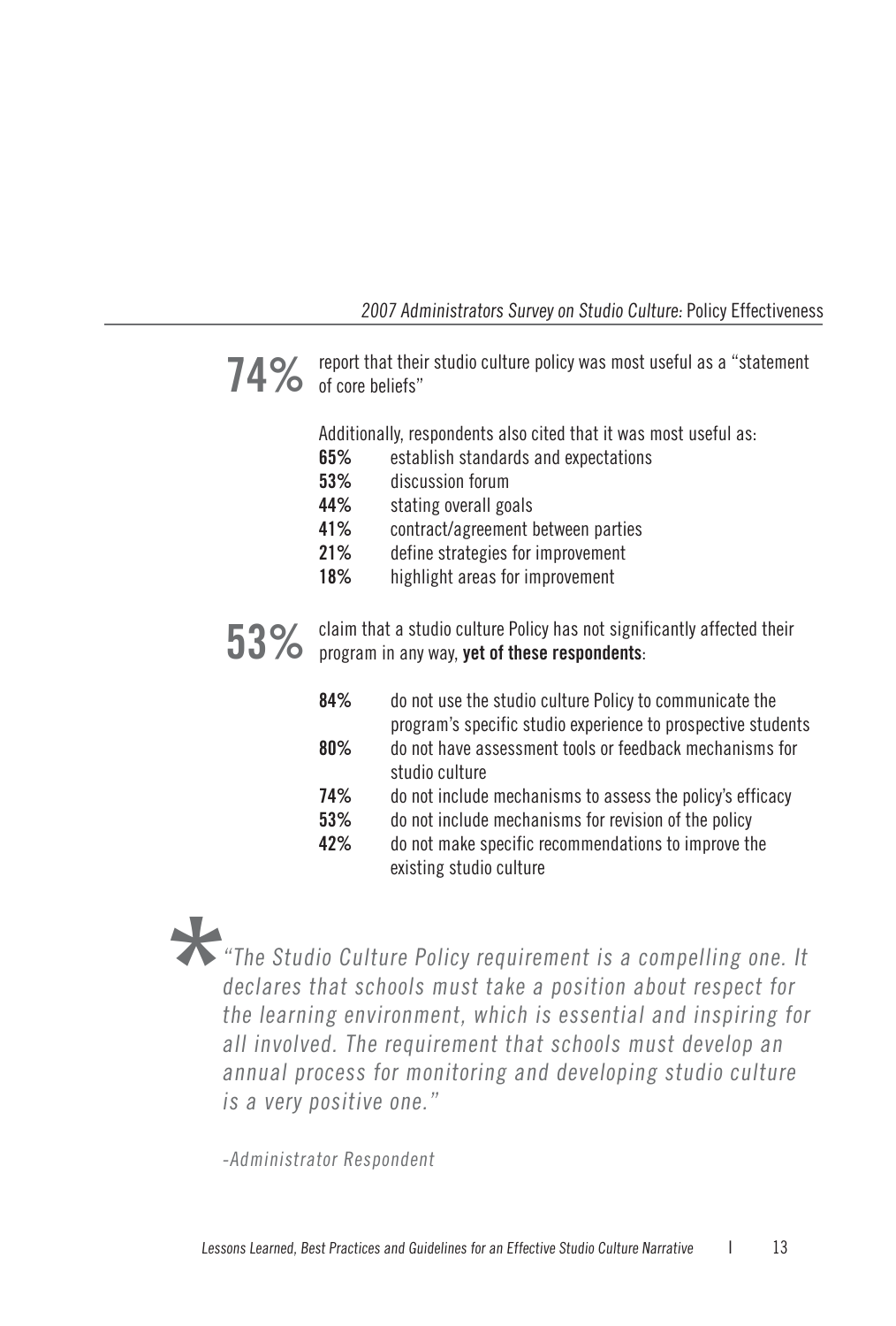#### 2007 Administrators Survey on Studio Culture: Policy Effectiveness

**74%** report that their studio culture policy was most useful as a "statement of  $\sim$  of core beliefs"

Additionally, respondents also cited that it was most useful as:

- **65%** establish standards and expectations
- **53%** discussion forum
- **44%** stating overall goals
- **41%** contract/agreement between parties
- **21%** define strategies for improvement
- **18%** highlight areas for improvement

**53%** claim that a studio culture Policy has not significantly affected their<br>**53%** program in any way **yet of these respondents** program in any way, **yet of these respondents**:

- **84%** do not use the studio culture Policy to communicate the program's specific studio experience to prospective students **80%** do not have assessment tools or feedback mechanisms for studio culture **74%** do not include mechanisms to assess the policy's efficacy
- **53%** do not include mechanisms for revision of the policy
- **42%** do not make specific recommendations to improve the existing studio culture

#### "The Studio Culture Policy requirement is a compelling one. It declares that schools must take a position about respect for the learning environment, which is essential and inspiring for all involved. The requirement that schools must develop an annual process for monitoring and developing studio culture is a very positive one." **\***

-Administrator Respondent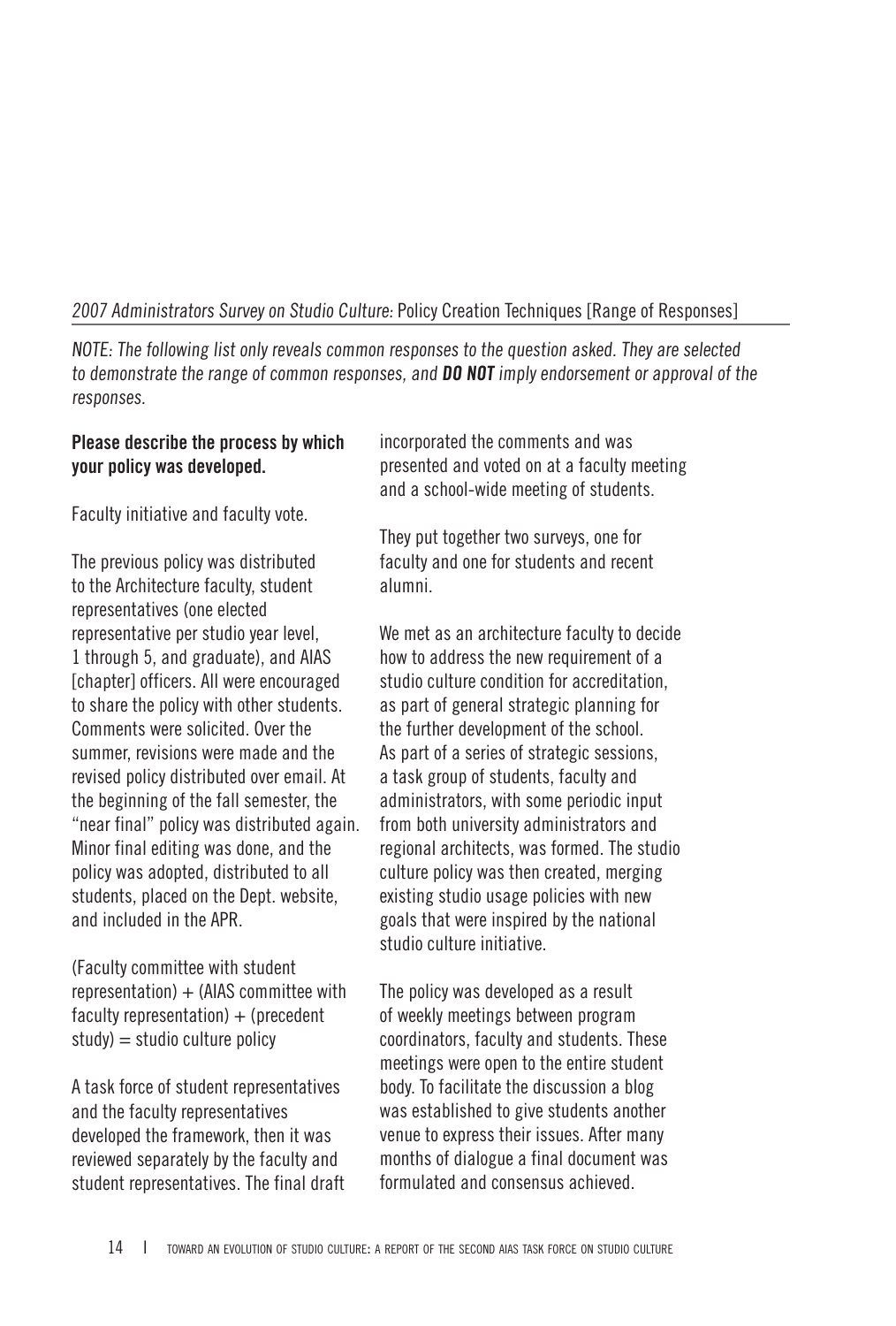#### 2007 Administrators Survey on Studio Culture: Policy Creation Techniques [Range of Responses]

NOTE: The following list only reveals common responses to the question asked. They are selected to demonstrate the range of common responses, and **DO NOT** imply endorsement or approval of the responses.

#### **Please describe the process by which your policy was developed.**

Faculty initiative and faculty vote.

The previous policy was distributed to the Architecture faculty, student representatives (one elected representative per studio year level, 1 through 5, and graduate), and AIAS [chapter] officers. All were encouraged to share the policy with other students. Comments were solicited. Over the summer, revisions were made and the revised policy distributed over email. At the beginning of the fall semester, the "near final" policy was distributed again. Minor final editing was done, and the policy was adopted, distributed to all students, placed on the Dept. website, and included in the APR.

(Faculty committee with student  $representation$  + (AIAS committee with faculty representation)  $+$  (precedent  $study) = studio culture policy$ 

A task force of student representatives and the faculty representatives developed the framework, then it was reviewed separately by the faculty and student representatives. The final draft incorporated the comments and was presented and voted on at a faculty meeting and a school-wide meeting of students.

They put together two surveys, one for faculty and one for students and recent alumni.

We met as an architecture faculty to decide how to address the new requirement of a studio culture condition for accreditation, as part of general strategic planning for the further development of the school. As part of a series of strategic sessions, a task group of students, faculty and administrators, with some periodic input from both university administrators and regional architects, was formed. The studio culture policy was then created, merging existing studio usage policies with new goals that were inspired by the national studio culture initiative.

The policy was developed as a result of weekly meetings between program coordinators, faculty and students. These meetings were open to the entire student body. To facilitate the discussion a blog was established to give students another venue to express their issues. After many months of dialogue a final document was formulated and consensus achieved.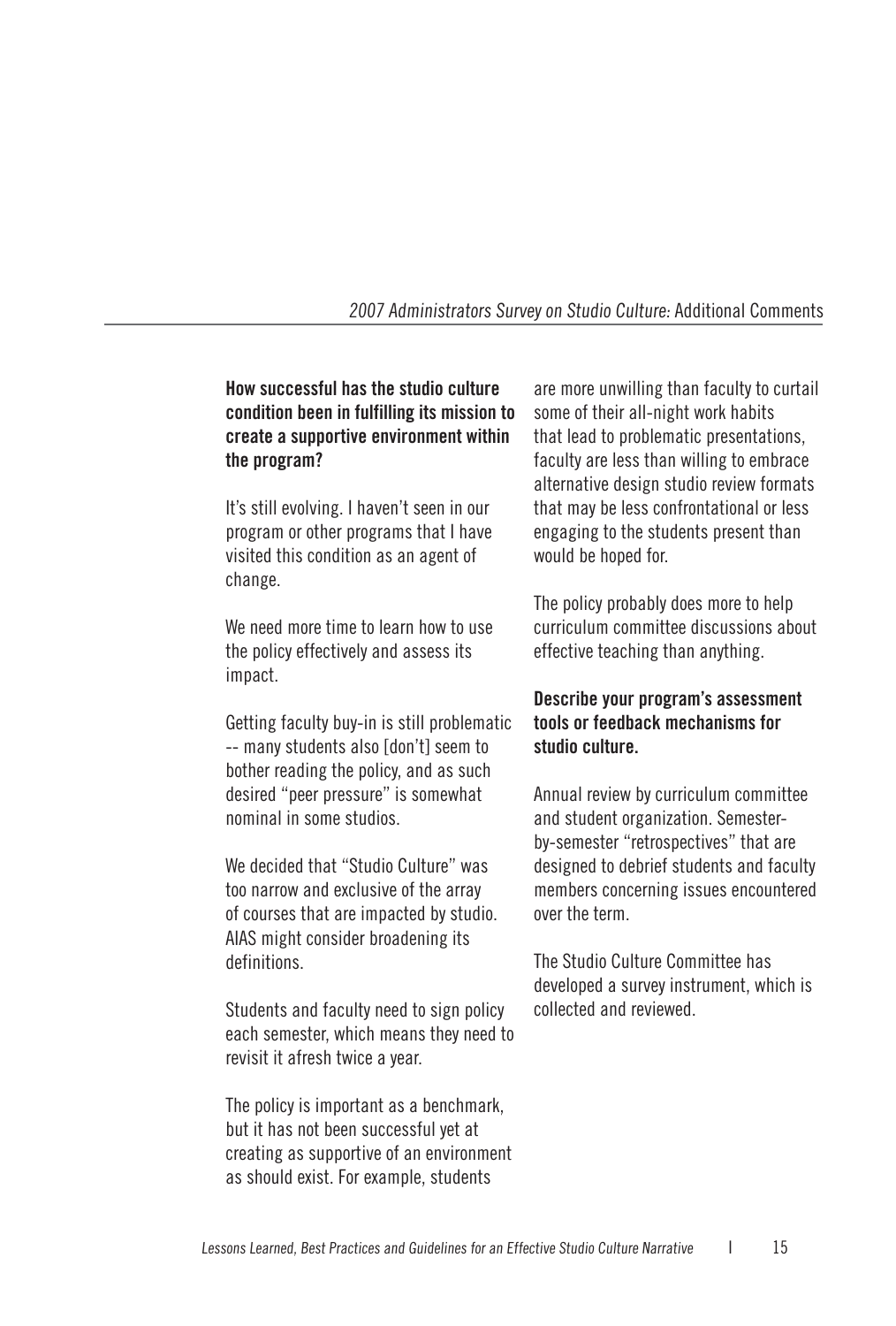#### 2007 Administrators Survey on Studio Culture: Additional Comments

#### **How successful has the studio culture condition been in fulfilling its mission to create a supportive environment within the program?**

It's still evolving. I haven't seen in our program or other programs that I have visited this condition as an agent of change.

We need more time to learn how to use the policy effectively and assess its impact.

Getting faculty buy-in is still problematic -- many students also [don't] seem to bother reading the policy, and as such desired "peer pressure" is somewhat nominal in some studios.

We decided that "Studio Culture" was too narrow and exclusive of the array of courses that are impacted by studio. AIAS might consider broadening its definitions.

Students and faculty need to sign policy each semester, which means they need to revisit it afresh twice a year.

The policy is important as a benchmark, but it has not been successful yet at creating as supportive of an environment as should exist. For example, students

are more unwilling than faculty to curtail some of their all-night work habits that lead to problematic presentations, faculty are less than willing to embrace alternative design studio review formats that may be less confrontational or less engaging to the students present than would be hoped for.

The policy probably does more to help curriculum committee discussions about effective teaching than anything.

#### **Describe your program's assessment tools or feedback mechanisms for studio culture.**

Annual review by curriculum committee and student organization. Semesterby-semester "retrospectives" that are designed to debrief students and faculty members concerning issues encountered over the term.

The Studio Culture Committee has developed a survey instrument, which is collected and reviewed.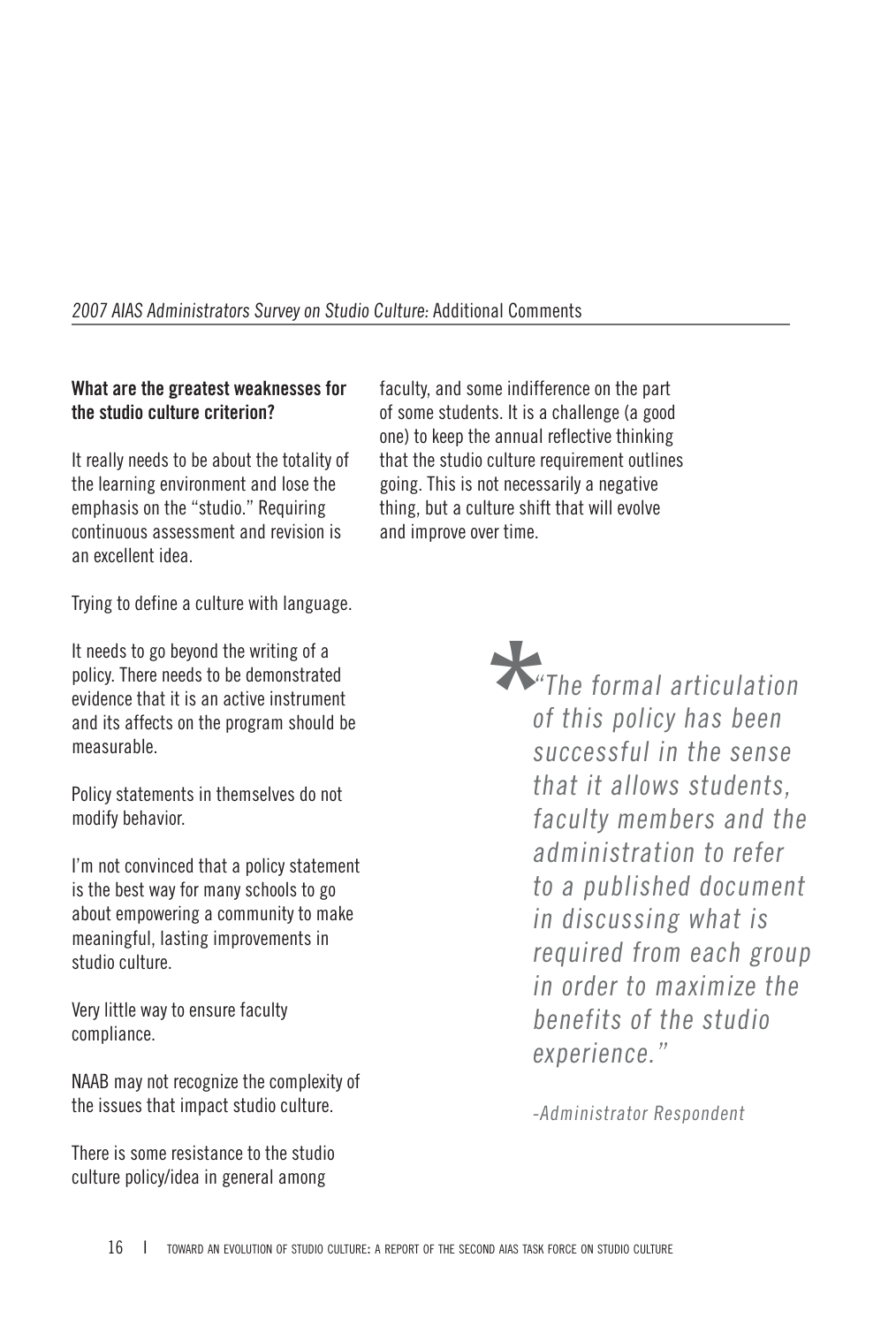#### **What are the greatest weaknesses for the studio culture criterion?**

It really needs to be about the totality of the learning environment and lose the emphasis on the "studio." Requiring continuous assessment and revision is an excellent idea.

faculty, and some indifference on the part of some students. It is a challenge (a good one) to keep the annual reflective thinking that the studio culture requirement outlines going. This is not necessarily a negative thing, but a culture shift that will evolve and improve over time.

Trying to define a culture with language.

It needs to go beyond the writing of a policy. There needs to be demonstrated evidence that it is an active instrument and its affects on the program should be measurable.

Policy statements in themselves do not modify behavior.

I'm not convinced that a policy statement is the best way for many schools to go about empowering a community to make meaningful, lasting improvements in studio culture.

Very little way to ensure faculty compliance.

NAAB may not recognize the complexity of the issues that impact studio culture.

There is some resistance to the studio culture policy/idea in general among

**\*** "The formal articulation of this policy has been successful in the sense that it allows students, faculty members and the administration to refer to a published document in discussing what is required from each group in order to maximize the benefits of the studio experience."

-Administrator Respondent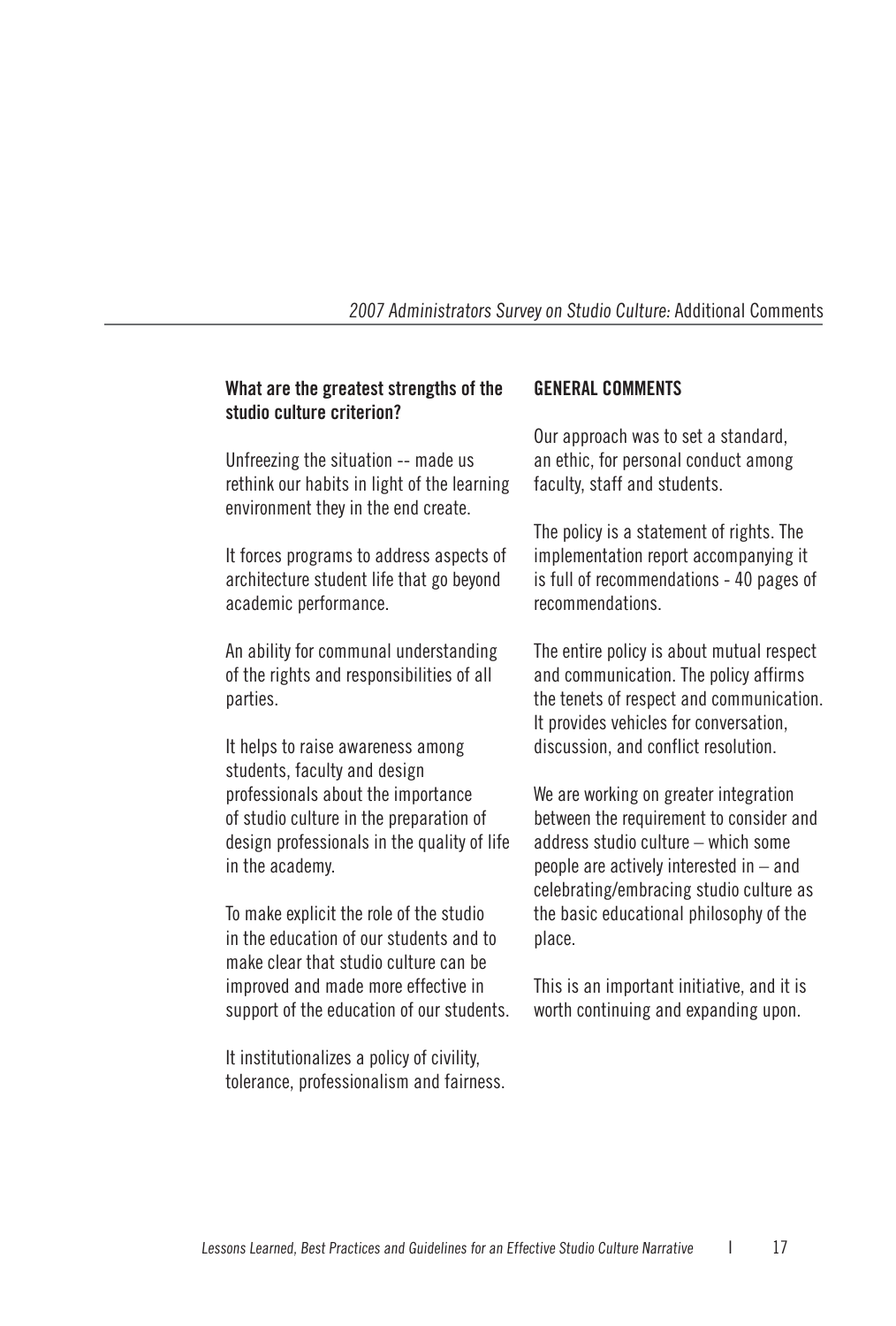#### **What are the greatest strengths of the studio culture criterion?**

Unfreezing the situation -- made us rethink our habits in light of the learning environment they in the end create.

It forces programs to address aspects of architecture student life that go beyond academic performance.

An ability for communal understanding of the rights and responsibilities of all parties.

It helps to raise awareness among students, faculty and design professionals about the importance of studio culture in the preparation of design professionals in the quality of life in the academy.

To make explicit the role of the studio in the education of our students and to make clear that studio culture can be improved and made more effective in support of the education of our students.

It institutionalizes a policy of civility, tolerance, professionalism and fairness.

#### **GENERAL COMMENTS**

Our approach was to set a standard, an ethic, for personal conduct among faculty, staff and students.

The policy is a statement of rights. The implementation report accompanying it is full of recommendations - 40 pages of recommendations.

The entire policy is about mutual respect and communication. The policy affirms the tenets of respect and communication. It provides vehicles for conversation, discussion, and conflict resolution.

We are working on greater integration between the requirement to consider and address studio culture – which some people are actively interested in – and celebrating/embracing studio culture as the basic educational philosophy of the place.

This is an important initiative, and it is worth continuing and expanding upon.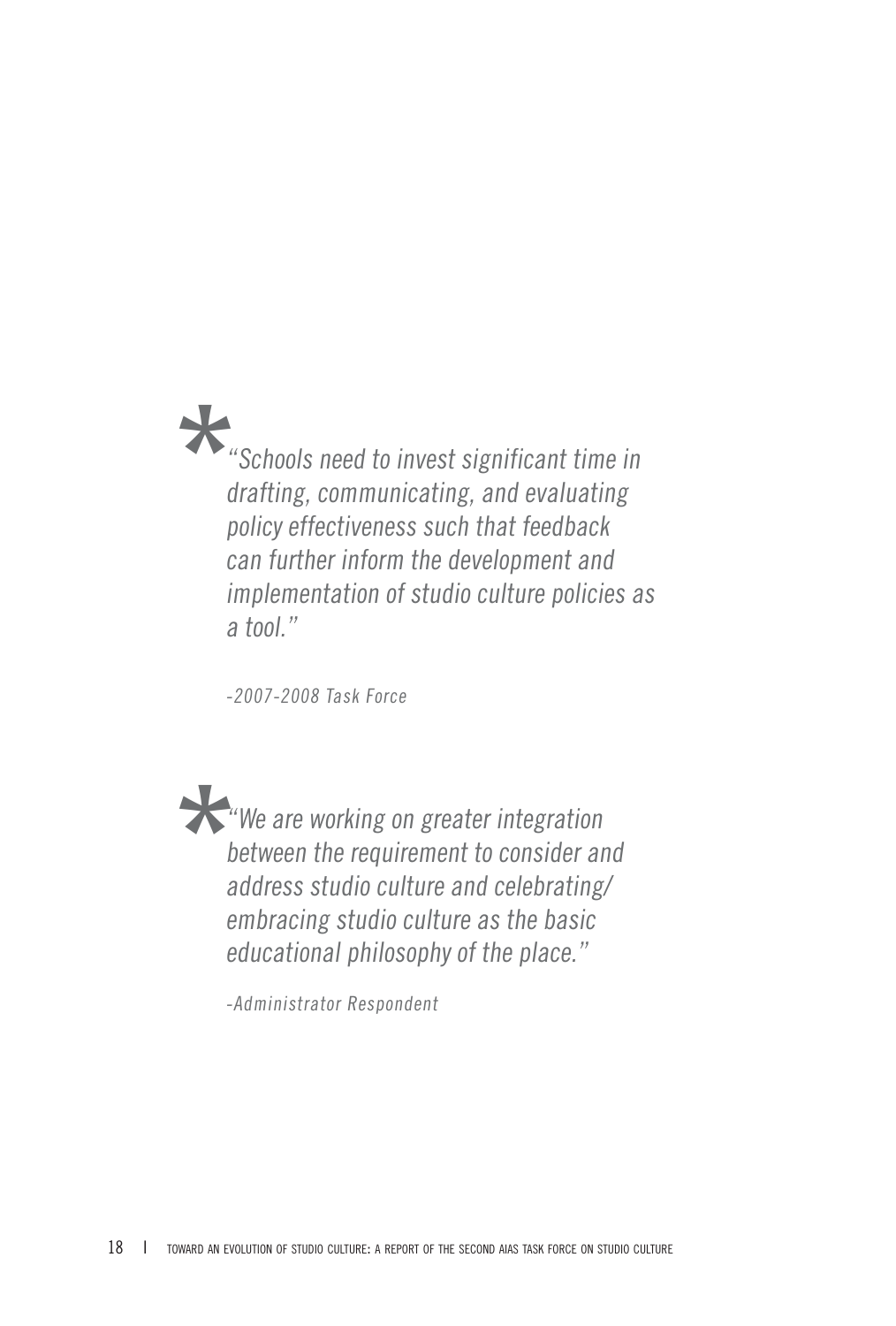**\***"Schools need to invest significant time in drafting, communicating, and evaluating policy effectiveness such that feedback can further inform the development and implementation of studio culture policies as a tool."

-2007-2008 Task Force

**\*** "We are working on greater integration between the requirement to consider and address studio culture and celebrating/ embracing studio culture as the basic educational philosophy of the place."

-Administrator Respondent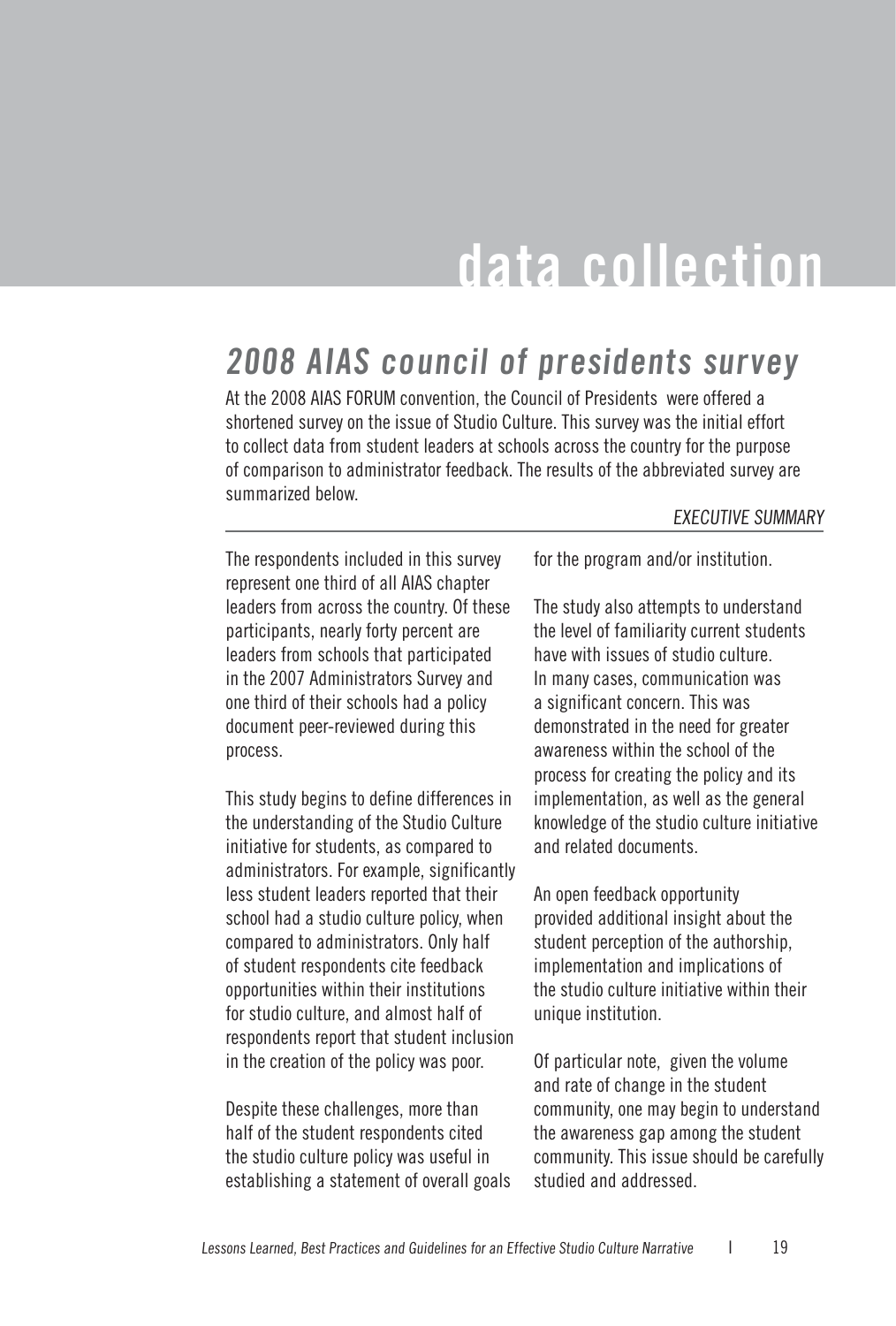## **data collection**

## **2008 AIAS council of presidents survey**

At the 2008 AIAS FORUM convention, the Council of Presidents were offered a shortened survey on the issue of Studio Culture. This survey was the initial effort to collect data from student leaders at schools across the country for the purpose of comparison to administrator feedback. The results of the abbreviated survey are summarized below.

#### EXECUTIVE SUMMARY

The respondents included in this survey represent one third of all AIAS chapter leaders from across the country. Of these participants, nearly forty percent are leaders from schools that participated in the 2007 Administrators Survey and one third of their schools had a policy document peer-reviewed during this process.

This study begins to define differences in the understanding of the Studio Culture initiative for students, as compared to administrators. For example, significantly less student leaders reported that their school had a studio culture policy, when compared to administrators. Only half of student respondents cite feedback opportunities within their institutions for studio culture, and almost half of respondents report that student inclusion in the creation of the policy was poor.

Despite these challenges, more than half of the student respondents cited the studio culture policy was useful in establishing a statement of overall goals for the program and/or institution.

The study also attempts to understand the level of familiarity current students have with issues of studio culture. In many cases, communication was a significant concern. This was demonstrated in the need for greater awareness within the school of the process for creating the policy and its implementation, as well as the general knowledge of the studio culture initiative and related documents.

An open feedback opportunity provided additional insight about the student perception of the authorship, implementation and implications of the studio culture initiative within their unique institution.

Of particular note, given the volume and rate of change in the student community, one may begin to understand the awareness gap among the student community. This issue should be carefully studied and addressed.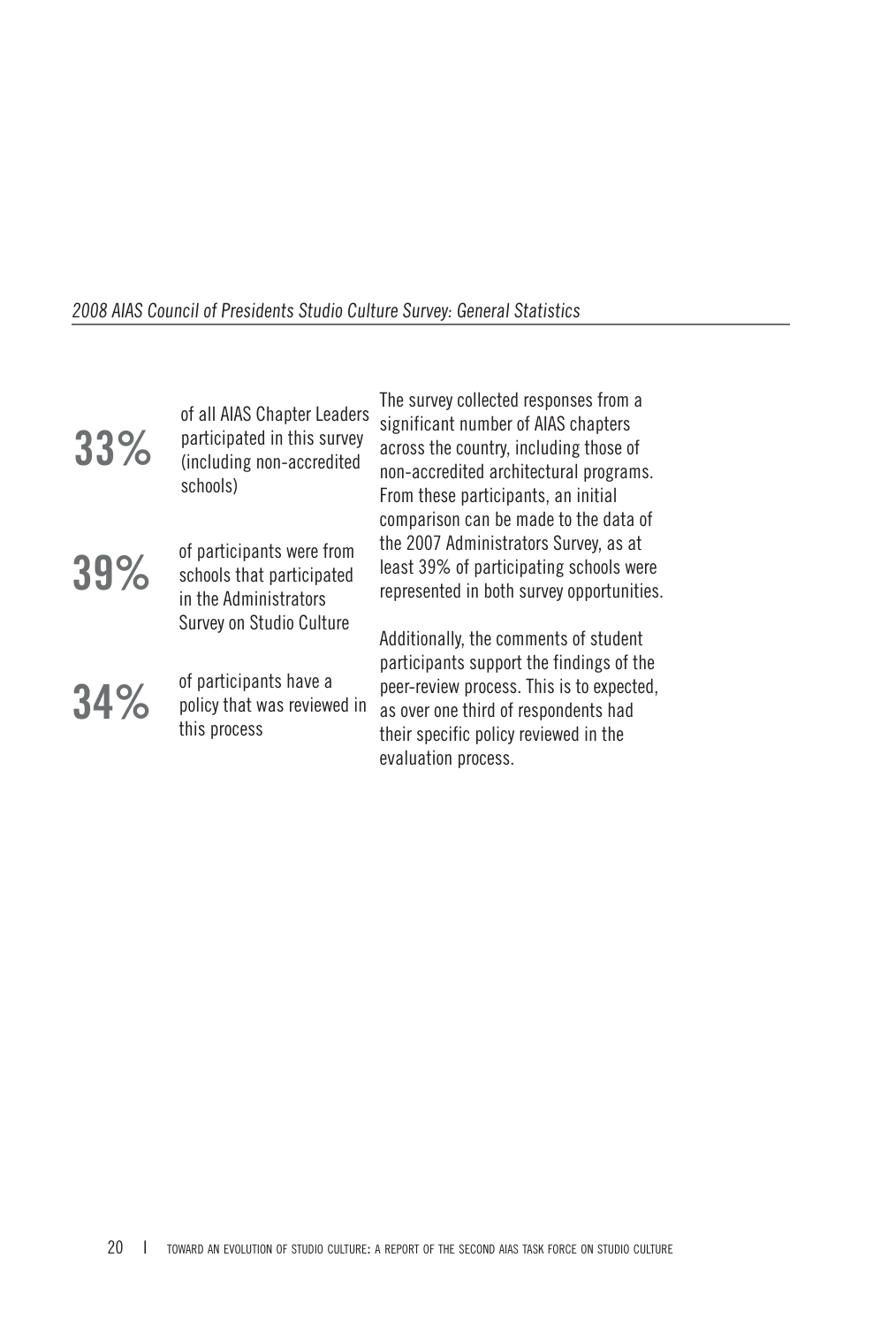#### 2008 AIAS Council of Presidents Studio Culture Survey: General Statistics

| 33% | of all AIAS Chapter Leaders<br>participated in this survey<br>(including non-accredited<br>schools)         | The survey collected responses from a<br>significant number of AIAS chapters<br>across the country, including those of<br>non-accredited architectural programs.<br>From these participants, an initial<br>comparison can be made to the data of |
|-----|-------------------------------------------------------------------------------------------------------------|--------------------------------------------------------------------------------------------------------------------------------------------------------------------------------------------------------------------------------------------------|
| 39% | of participants were from<br>schools that participated<br>in the Administrators<br>Survey on Studio Culture | the 2007 Administrators Survey, as at<br>least 39% of participating schools were<br>represented in both survey opportunities.                                                                                                                    |
| 34% | of participants have a<br>policy that was reviewed in<br>this process                                       | Additionally, the comments of student<br>participants support the findings of the<br>peer-review process. This is to expected,<br>as over one third of respondents had<br>their specific policy reviewed in the<br>evaluation process.           |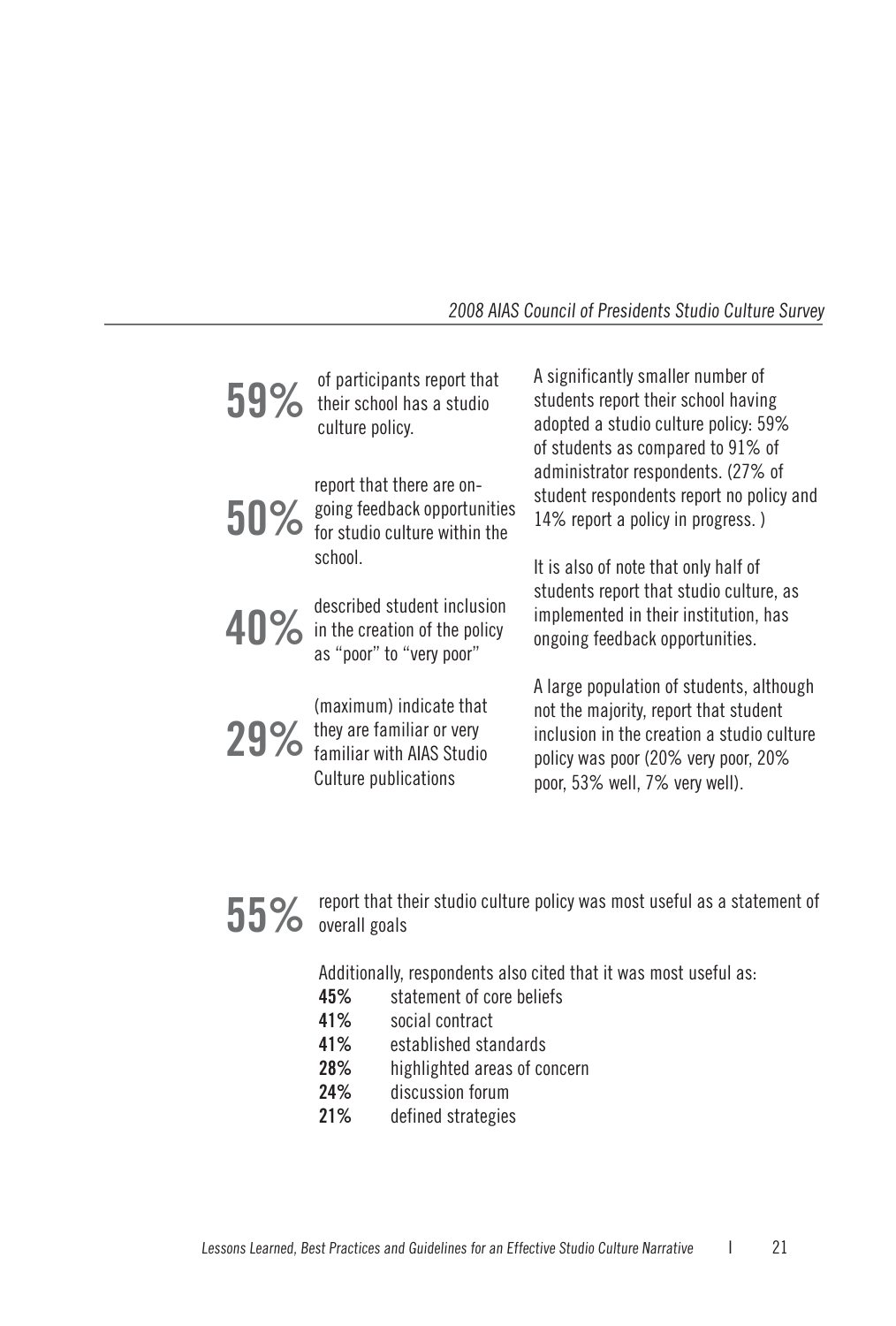#### 2008 AIAS Council of Presidents Studio Culture Survey

| 59% | of participants report that<br>their school has a studio<br>culture policy.      | A significantly smaller number of<br>students report their school having<br>adopted a studio culture policy: 59%<br>of students as compared to 91% of                                                    |
|-----|----------------------------------------------------------------------------------|----------------------------------------------------------------------------------------------------------------------------------------------------------------------------------------------------------|
|     | report that there are on-<br>50% going feedback opportunities                    | administrator respondents. (27% of<br>student respondents report no policy and<br>14% report a policy in progress.)                                                                                      |
|     | school.<br>40% described student inclusion<br>as "poor" to "very poor"           | It is also of note that only half of<br>students report that studio culture, as<br>implemented in their institution, has<br>ongoing feedback opportunities.                                              |
|     | (maximum) indicate that<br>29% they are familiar or very<br>Culture publications | A large population of students, although<br>not the majority, report that student<br>inclusion in the creation a studio culture<br>policy was poor (20% very poor, 20%<br>poor, 53% well, 7% very well). |

## **55%** report that their studio culture policy was most useful as a statement of overall goals

Additionally, respondents also cited that it was most useful as:

- **45%** statement of core beliefs
- **41%** social contract
- **41%** established standards
- **28%** highlighted areas of concern
- **24%** discussion forum
- **21%** defined strategies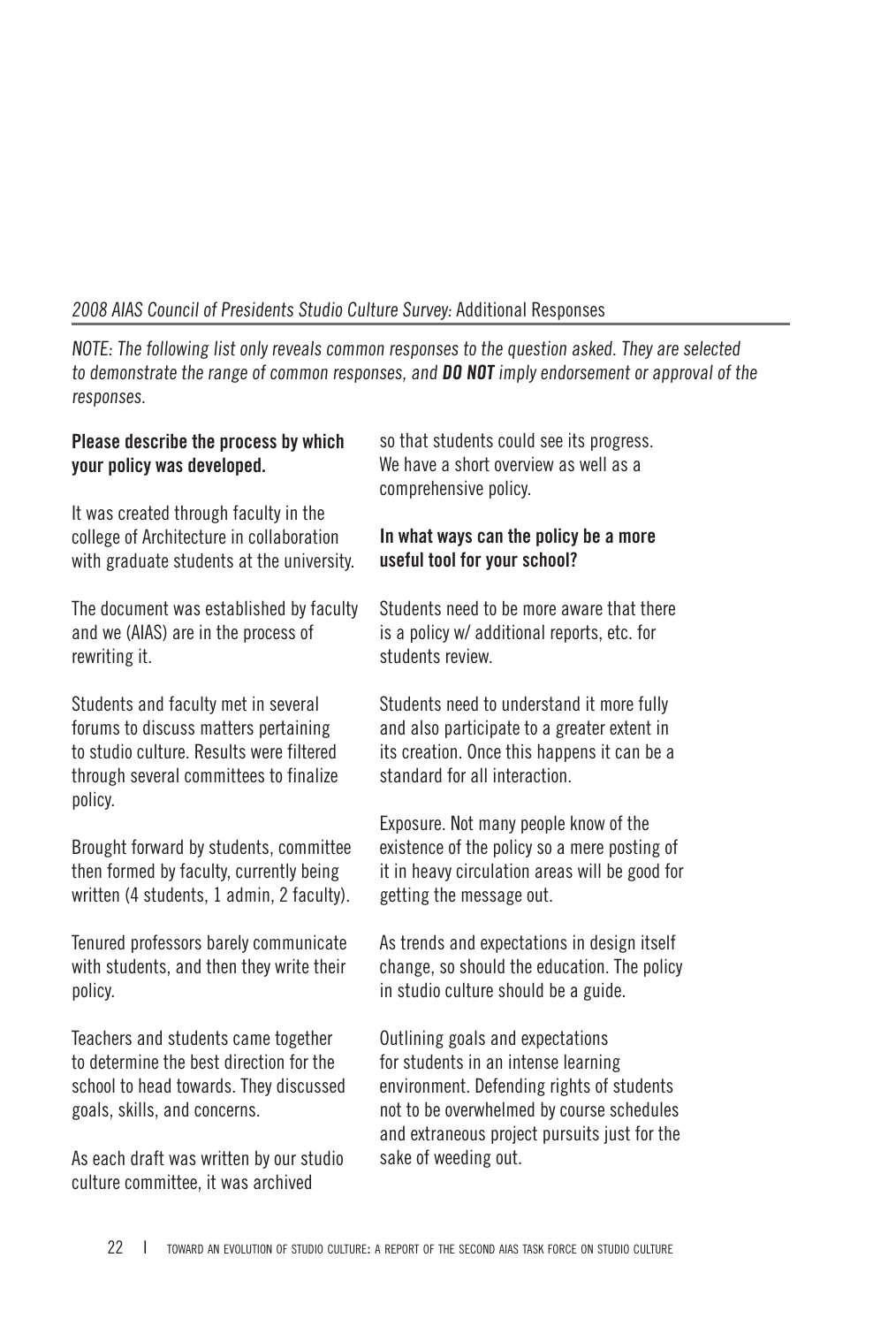#### 2008 AIAS Council of Presidents Studio Culture Survey: Additional Responses

NOTE: The following list only reveals common responses to the question asked. They are selected to demonstrate the range of common responses, and **DO NOT** imply endorsement or approval of the responses.

#### **Please describe the process by which your policy was developed.**

It was created through faculty in the college of Architecture in collaboration with graduate students at the university.

The document was established by faculty and we (AIAS) are in the process of rewriting it.

Students and faculty met in several forums to discuss matters pertaining to studio culture. Results were filtered through several committees to finalize policy.

Brought forward by students, committee then formed by faculty, currently being written (4 students, 1 admin, 2 faculty).

Tenured professors barely communicate with students, and then they write their policy.

Teachers and students came together to determine the best direction for the school to head towards. They discussed goals, skills, and concerns.

As each draft was written by our studio culture committee, it was archived

so that students could see its progress. We have a short overview as well as a comprehensive policy.

#### **In what ways can the policy be a more useful tool for your school?**

Students need to be more aware that there is a policy w/ additional reports, etc. for students review.

Students need to understand it more fully and also participate to a greater extent in its creation. Once this happens it can be a standard for all interaction.

Exposure. Not many people know of the existence of the policy so a mere posting of it in heavy circulation areas will be good for getting the message out.

As trends and expectations in design itself change, so should the education. The policy in studio culture should be a guide.

Outlining goals and expectations for students in an intense learning environment. Defending rights of students not to be overwhelmed by course schedules and extraneous project pursuits just for the sake of weeding out.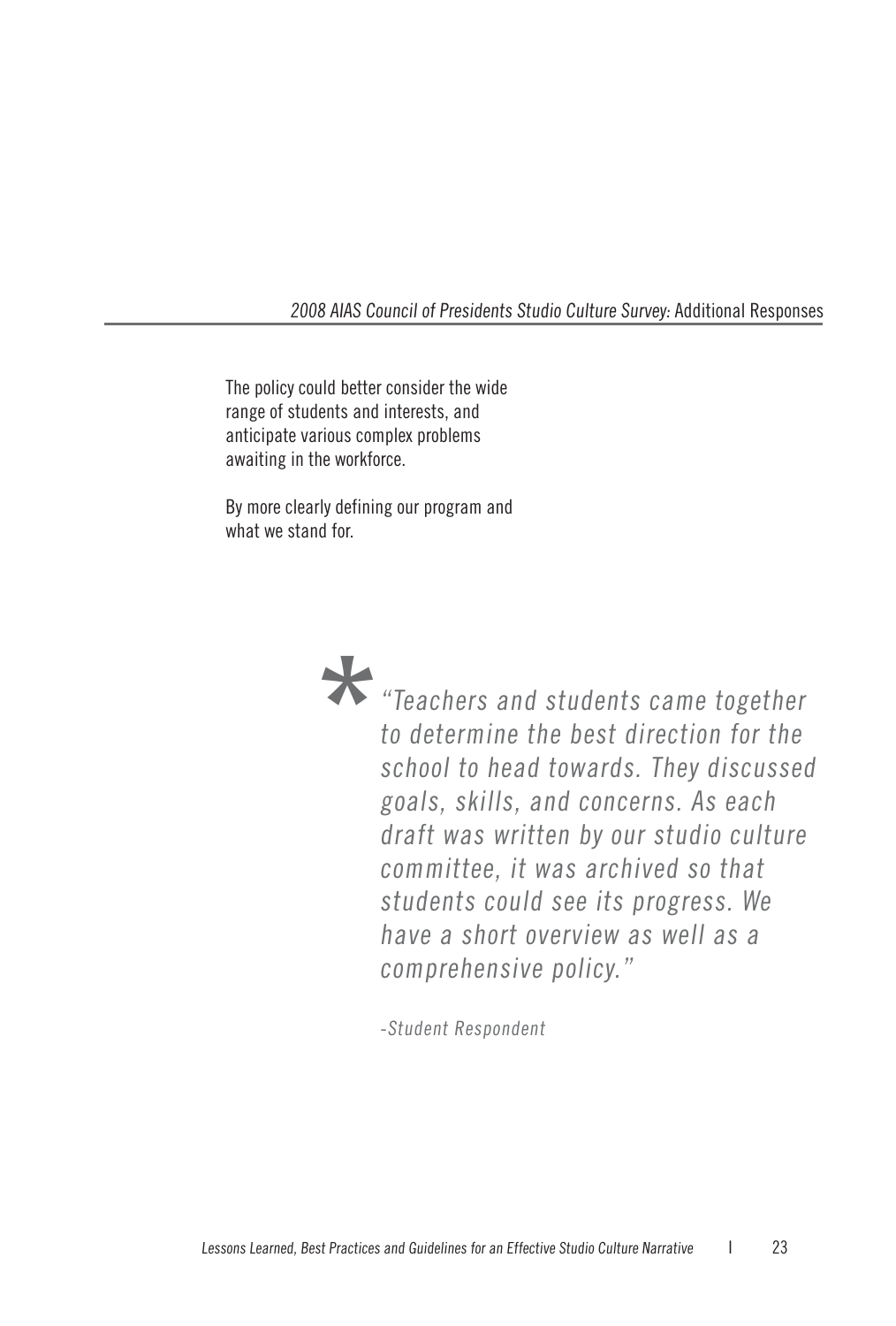2008 AIAS Council of Presidents Studio Culture Survey: Additional Responses

The policy could better consider the wide range of students and interests, and anticipate various complex problems awaiting in the workforce.

By more clearly defining our program and what we stand for.



**\***"Teachers and students came together to determine the best direction for the school to head towards. They discussed goals, skills, and concerns. As each draft was written by our studio culture committee, it was archived so that students could see its progress. We have a short overview as well as a comprehensive policy."

-Student Respondent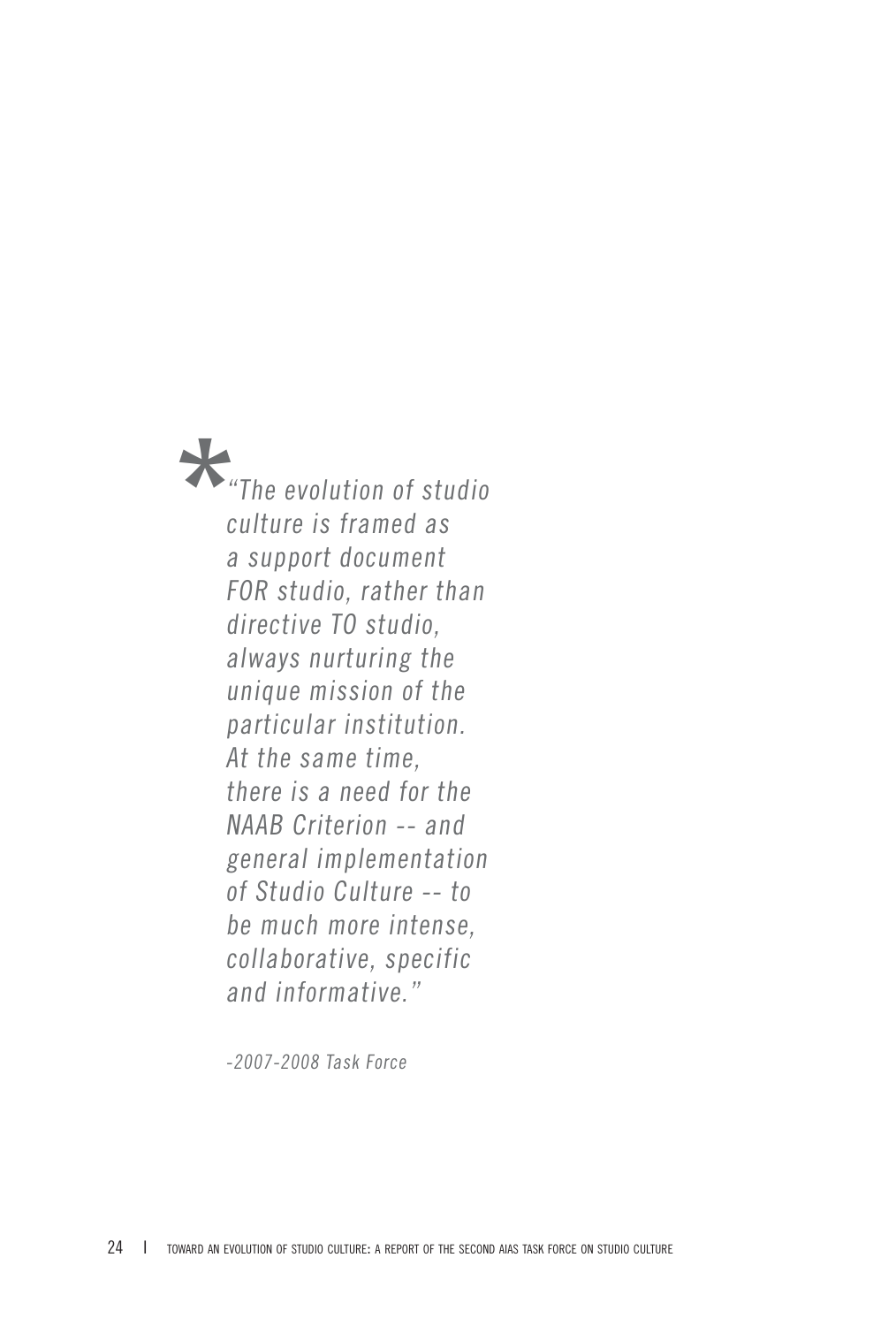**\***"The evolution of studio culture is framed as a support document FOR studio, rather than directive TO studio, always nurturing the unique mission of the particular institution. At the same time, there is a need for the NAAB Criterion -- and general implementation of Studio Culture -- to be much more intense, collaborative, specific and informative."

-2007-2008 Task Force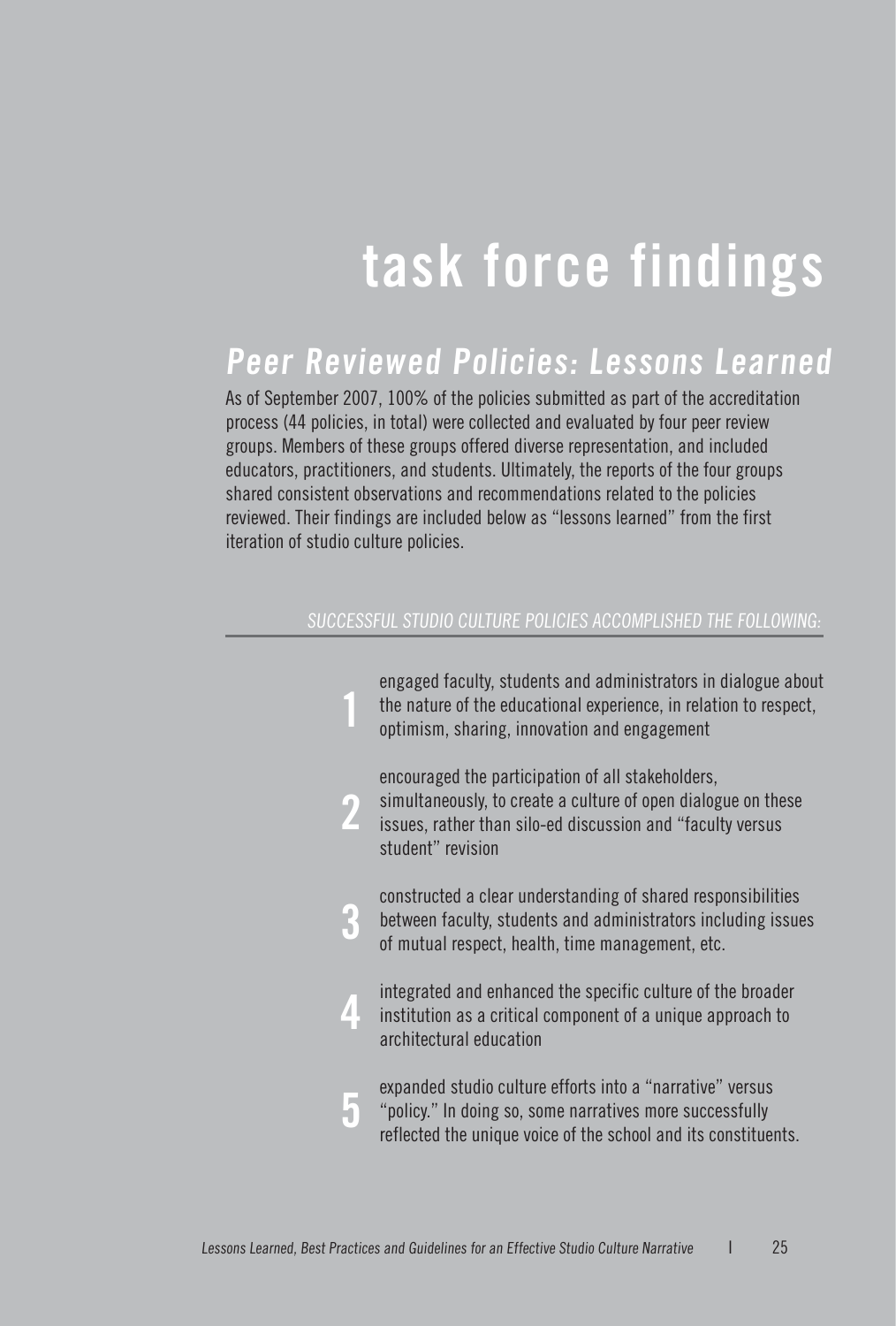# **task force findings**

## **Peer Reviewed Policies: Lessons Learned**

As of September 2007, 100% of the policies submitted as part of the accreditation process (44 policies, in total) were collected and evaluated by four peer review groups. Members of these groups offered diverse representation, and included educators, practitioners, and students. Ultimately, the reports of the four groups shared consistent observations and recommendations related to the policies reviewed. Their findings are included below as "lessons learned" from the first iteration of studio culture policies.

#### SUCCESSFUL STUDIO CULTURE POLICIES ACCOMPLISHED THE FOLLOWING:

|  | engaged faculty, students and administrators in dialogue about<br>the nature of the educational experience, in relation to respect,<br>optimism, sharing, innovation and engagement                   |
|--|-------------------------------------------------------------------------------------------------------------------------------------------------------------------------------------------------------|
|  | encouraged the participation of all stakeholders,<br>simultaneously, to create a culture of open dialogue on these<br>issues, rather than silo-ed discussion and "faculty versus<br>student" revision |
|  | constructed a clear understanding of shared responsibilities<br>between faculty, students and administrators including issues<br>of mutual respect, health, time management, etc.                     |
|  | integrated and enhanced the specific culture of the broader<br>institution as a critical component of a unique approach to<br>architectural education                                                 |
|  | expanded studio culture efforts into a "narrative" versus<br>"policy." In doing so, some narratives more successfully<br>reflected the unique voice of the school and its constituents.               |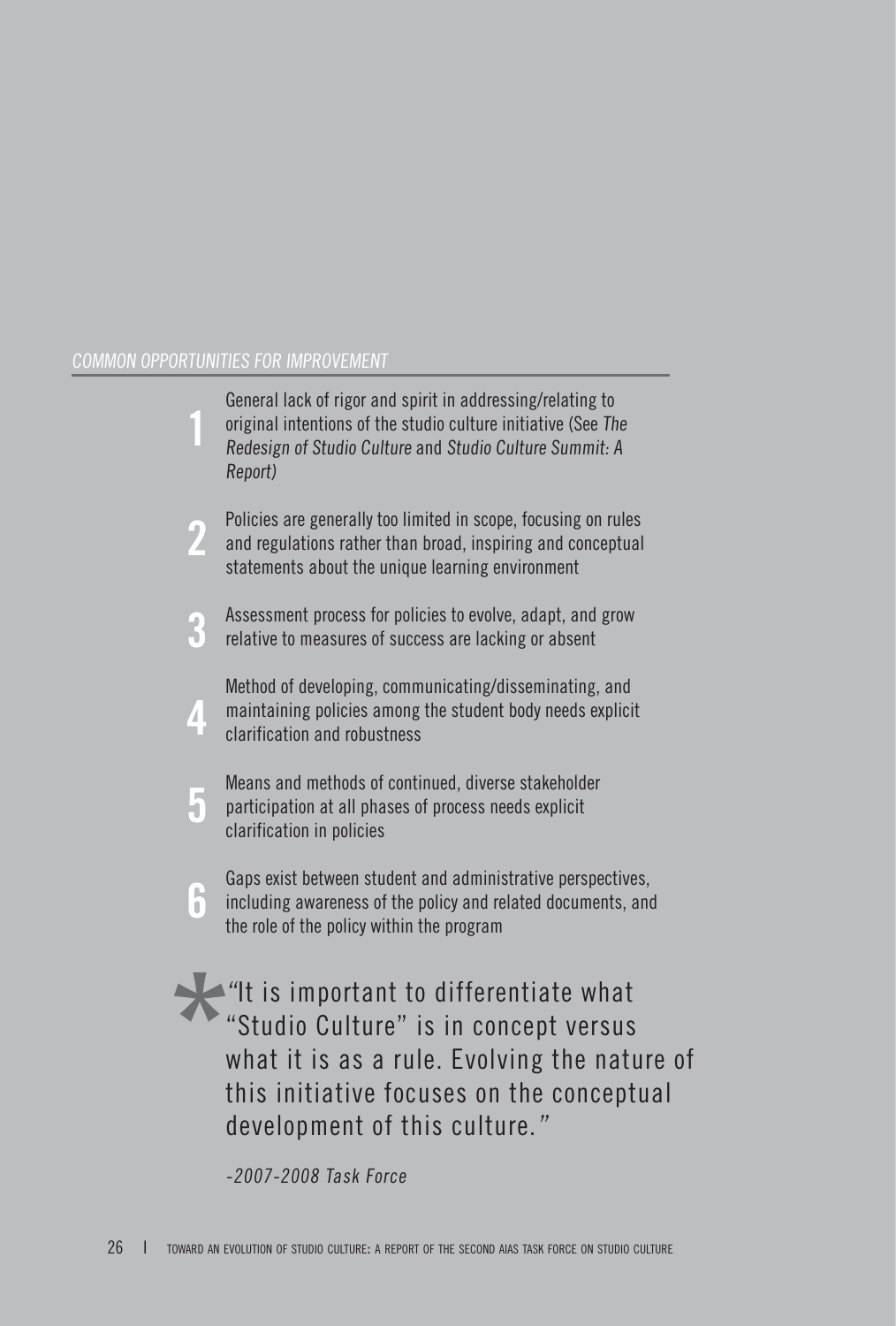|   | General lack of rigor and spirit in addressing/relating to<br>original intentions of the studio culture initiative (See The<br>Redesign of Studio Culture and Studio Culture Summit: A<br>Report)              |
|---|----------------------------------------------------------------------------------------------------------------------------------------------------------------------------------------------------------------|
|   | Policies are generally too limited in scope, focusing on rules<br>and regulations rather than broad, inspiring and conceptual<br>statements about the unique learning environment                              |
| 3 | Assessment process for policies to evolve, adapt, and grow<br>relative to measures of success are lacking or absent                                                                                            |
| 4 | Method of developing, communicating/disseminating, and<br>maintaining policies among the student body needs explicit<br>clarification and robustness                                                           |
| 5 | Means and methods of continued, diverse stakeholder<br>participation at all phases of process needs explicit<br>clarification in policies                                                                      |
| 6 | Gaps exist between student and administrative perspectives,<br>including awareness of the policy and related documents, and<br>the role of the policy within the program                                       |
|   | "It is important to differentiate what"<br>"Studio Culture" is in concept versus<br>what it is as a rule. Evolving the nature of<br>this initiative focuses on the conceptual<br>development of this culture." |

-2007-2008 Task Force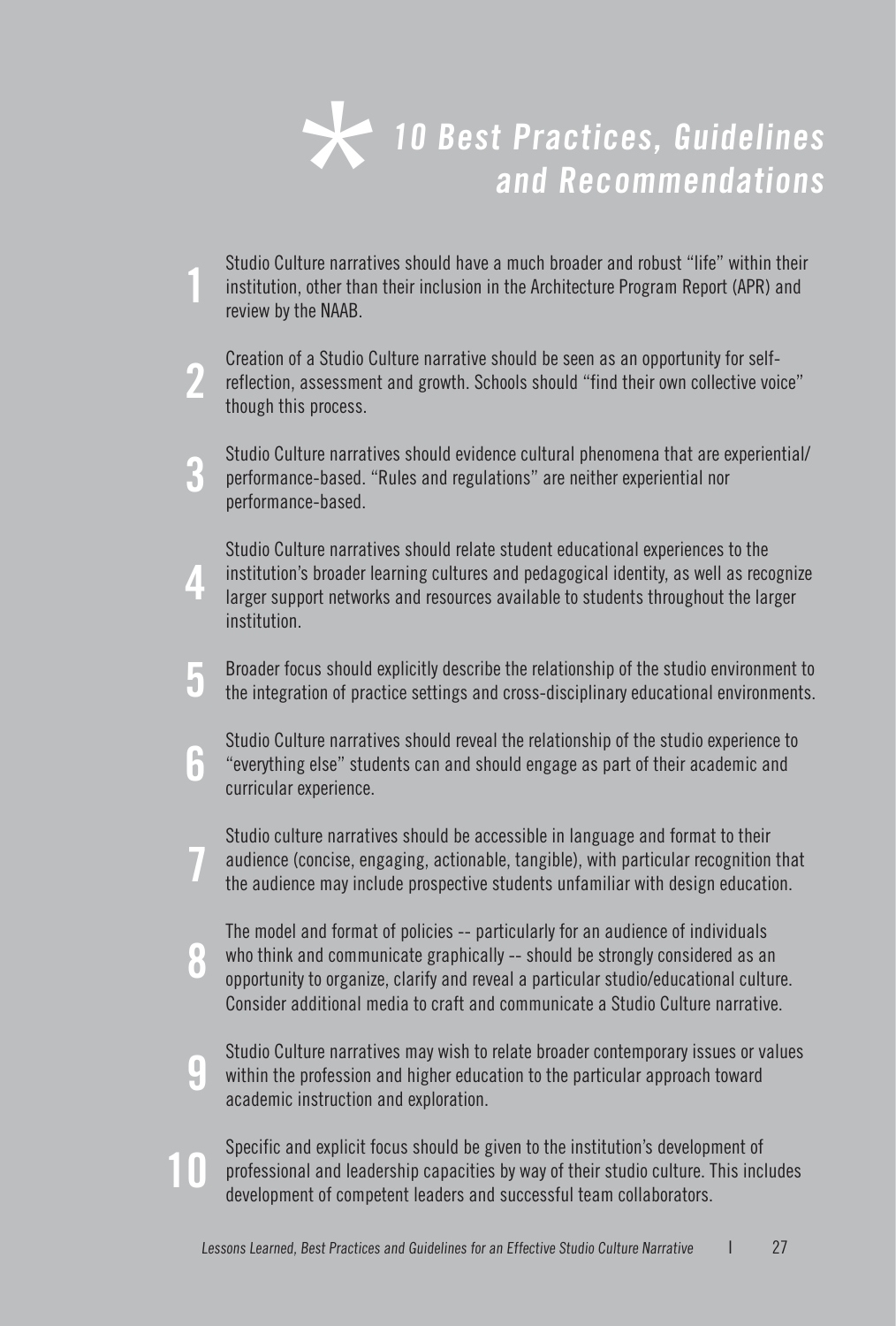

- Studio Culture narratives should have a much broader and robust "life" within their<br>institution, other than their inclusion in the Architecture Program Report (APR) and<br>review by the NAAR review by the NAAB.
- Creation of a Studio Culture narrative should be seen as an opportunity for selfreflection, assessment and growth. Schools should "find their own collective voice" though this process. **2**
- Studio Culture narratives should evidence cultural phenomena that are experiential/ performance-based. "Rules and regulations" are neither experiential nor performance-based. **3**
- Studio Culture narratives should relate student educational experiences to the institution's broader learning cultures and pedagogical identity, as well as recognize larger support networks and resources available to students throughout the larger institution. **4**
- Broader focus should explicitly describe the relationship of the studio environment to the integration of practice settings and cross-disciplinary educational environments. **5**
- Studio Culture narratives should reveal the relationship of the studio experience to "everything else" students can and should engage as part of their academic and curricular experience. **6**
- Studio culture narratives should be accessible in language and format to their audience (concise, engaging, actionable, tangible), with particular recognition that the audience may include prospective students unfamiliar with design education. **7**
- The model and format of policies -- particularly for an audience of individuals who think and communicate graphically -- should be strongly considered as an opportunity to organize, clarify and reveal a particular studio/educational culture. Consider additional media to craft and communicate a Studio Culture narrative. **8**
	- Studio Culture narratives may wish to relate broader contemporary issues or values within the profession and higher education to the particular approach toward academic instruction and exploration.

**9**

**10**

Specific and explicit focus should be given to the institution's development of professional and leadership capacities by way of their studio culture. This includes development of competent leaders and successful team collaborators.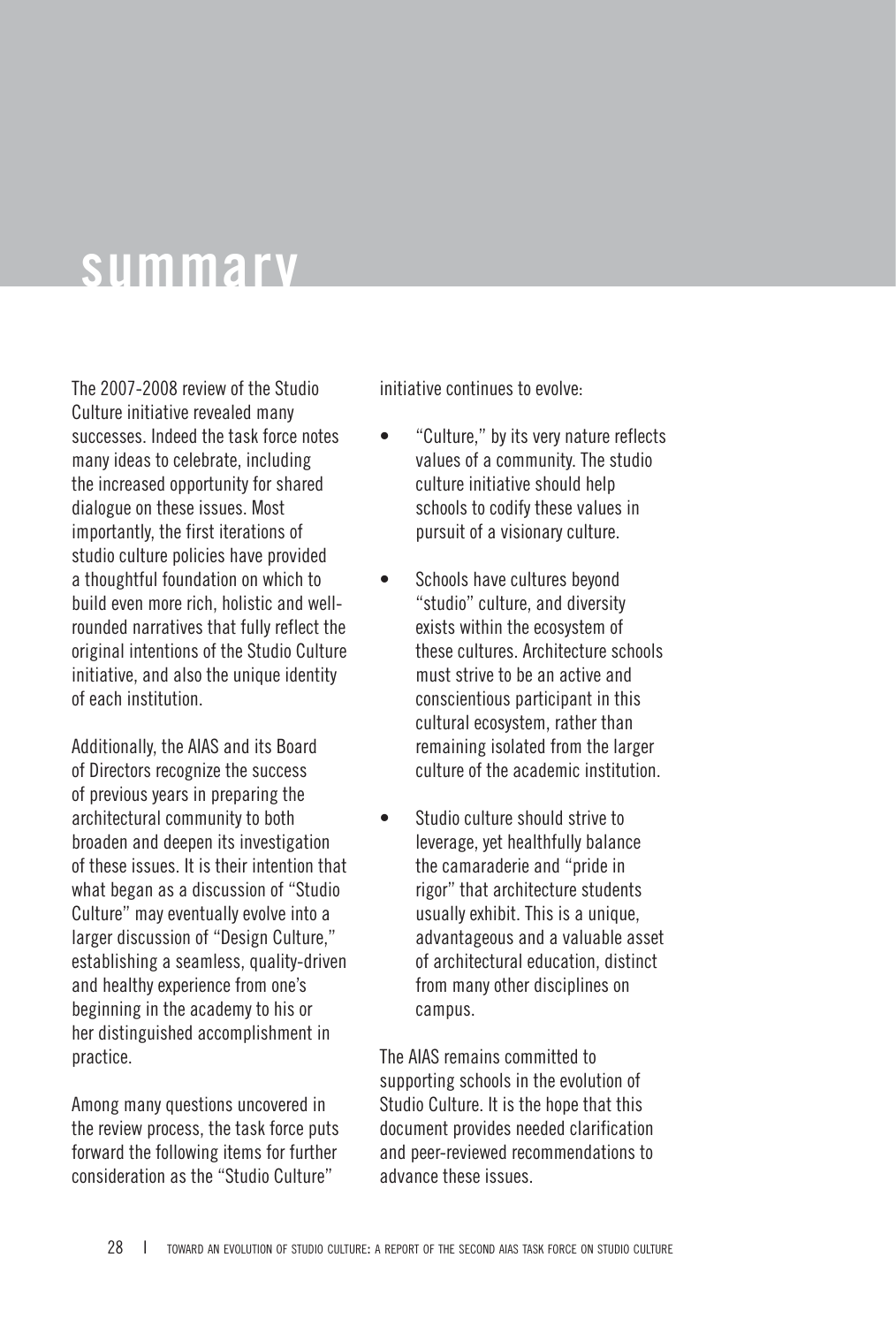## **summary**

The 2007-2008 review of the Studio Culture initiative revealed many successes. Indeed the task force notes many ideas to celebrate, including the increased opportunity for shared dialogue on these issues. Most importantly, the first iterations of studio culture policies have provided a thoughtful foundation on which to build even more rich, holistic and wellrounded narratives that fully reflect the original intentions of the Studio Culture initiative, and also the unique identity of each institution.

Additionally, the AIAS and its Board of Directors recognize the success of previous years in preparing the architectural community to both broaden and deepen its investigation of these issues. It is their intention that what began as a discussion of "Studio Culture" may eventually evolve into a larger discussion of "Design Culture," establishing a seamless, quality-driven and healthy experience from one's beginning in the academy to his or her distinguished accomplishment in practice.

Among many questions uncovered in the review process, the task force puts forward the following items for further consideration as the "Studio Culture"

initiative continues to evolve:

- "Culture," by its very nature reflects values of a community. The studio culture initiative should help schools to codify these values in pursuit of a visionary culture. •
- Schools have cultures beyond "studio" culture, and diversity exists within the ecosystem of these cultures. Architecture schools must strive to be an active and conscientious participant in this cultural ecosystem, rather than remaining isolated from the larger culture of the academic institution. •
- Studio culture should strive to leverage, yet healthfully balance the camaraderie and "pride in rigor" that architecture students usually exhibit. This is a unique, advantageous and a valuable asset of architectural education, distinct from many other disciplines on campus. •

The AIAS remains committed to supporting schools in the evolution of Studio Culture. It is the hope that this document provides needed clarification and peer-reviewed recommendations to advance these issues.